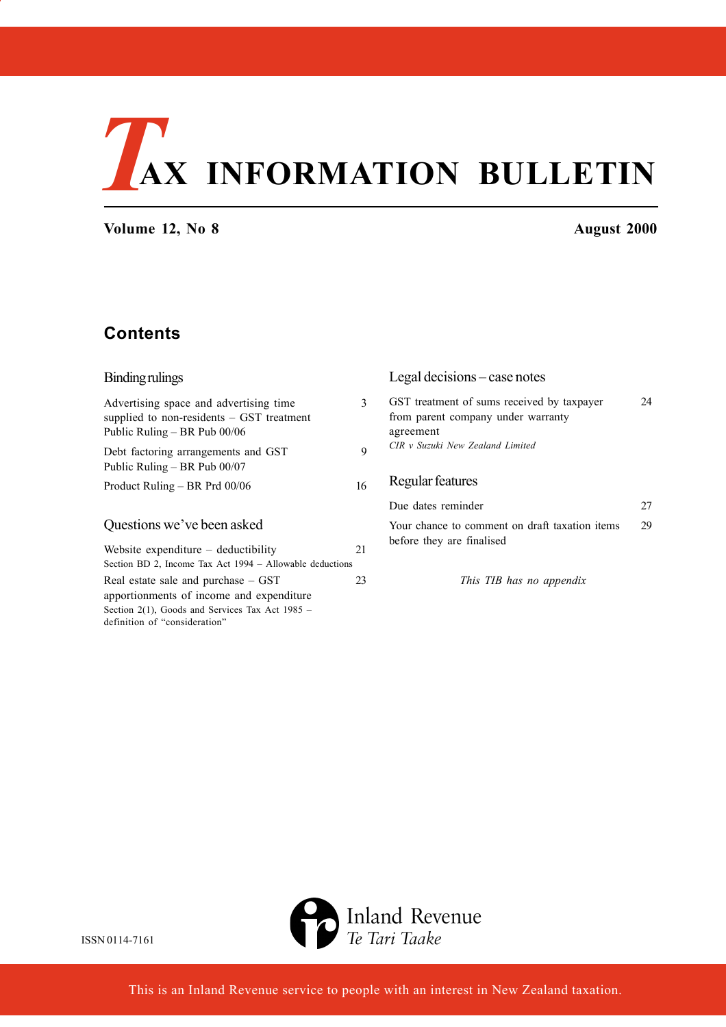# **TAX INFORMATION BULLETIN**

**Volume 12, No 8 August 2000**

# **Contents**

| Binding rulings                                                                                                                                                         |    | Legal decisions – case notes                                                                  |    |
|-------------------------------------------------------------------------------------------------------------------------------------------------------------------------|----|-----------------------------------------------------------------------------------------------|----|
| Advertising space and advertising time<br>supplied to non-residents - GST treatment<br>Public Ruling – BR Pub 00/06                                                     | 3  | GST treatment of sums received by taxpayer<br>from parent company under warranty<br>agreement | 24 |
| Debt factoring arrangements and GST<br>Public Ruling – BR Pub $00/07$                                                                                                   | 9  | CIR v Suzuki New Zealand Limited                                                              |    |
| Product Ruling – BR Prd 00/06                                                                                                                                           | 16 | Regular features                                                                              |    |
|                                                                                                                                                                         |    | Due dates reminder                                                                            | 27 |
| Questions we've been asked                                                                                                                                              |    | Your chance to comment on draft taxation items                                                | 29 |
| Website expenditure $-$ deductibility<br>Section BD 2, Income Tax Act 1994 - Allowable deductions                                                                       | 21 | before they are finalised                                                                     |    |
| Real estate sale and purchase $-$ GST<br>apportionments of income and expenditure<br>Section 2(1), Goods and Services Tax Act $1985 -$<br>definition of "consideration" | 23 | This TIB has no appendix                                                                      |    |



ISSN 0114-7161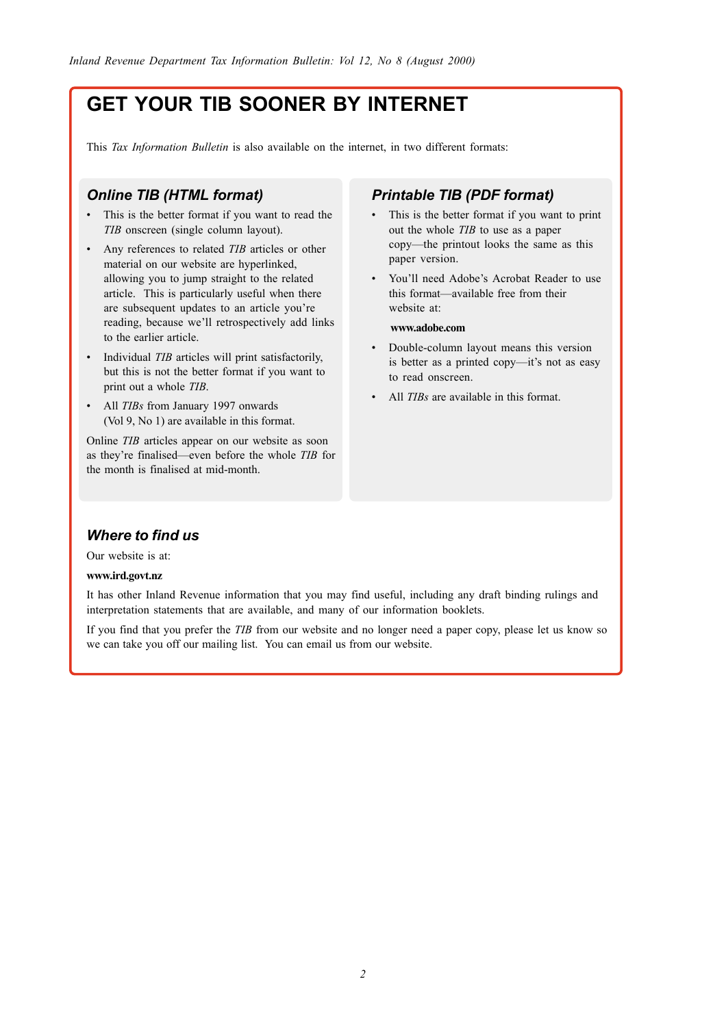# **GET YOUR TIB SOONER BY INTERNET**

This *Tax Information Bulletin* is also available on the internet, in two different formats:

### *Online TIB (HTML format)*

- This is the better format if you want to read the *TIB* onscreen (single column layout).
- Any references to related *TIB* articles or other material on our website are hyperlinked, allowing you to jump straight to the related article. This is particularly useful when there are subsequent updates to an article you're reading, because we'll retrospectively add links to the earlier article.
- Individual *TIB* articles will print satisfactorily, but this is not the better format if you want to print out a whole *TIB*.
- All *TIBs* from January 1997 onwards (Vol 9, No 1) are available in this format.

Online *TIB* articles appear on our website as soon as they're finalised—even before the whole *TIB* for the month is finalised at mid-month.

### *Printable TIB (PDF format)*

- This is the better format if you want to print out the whole *TIB* to use as a paper copy—the printout looks the same as this paper version.
- You'll need Adobe's Acrobat Reader to use this format—available free from their website at:

### **www.adobe.com**

- Double-column layout means this version is better as a printed copy—it's not as easy to read onscreen.
- All *TIBs* are available in this format.

### *Where to find us*

Our website is at:

### **www.ird.govt.nz**

It has other Inland Revenue information that you may find useful, including any draft binding rulings and interpretation statements that are available, and many of our information booklets.

If you find that you prefer the *TIB* from our website and no longer need a paper copy, please let us know so we can take you off our mailing list. You can email us from our website.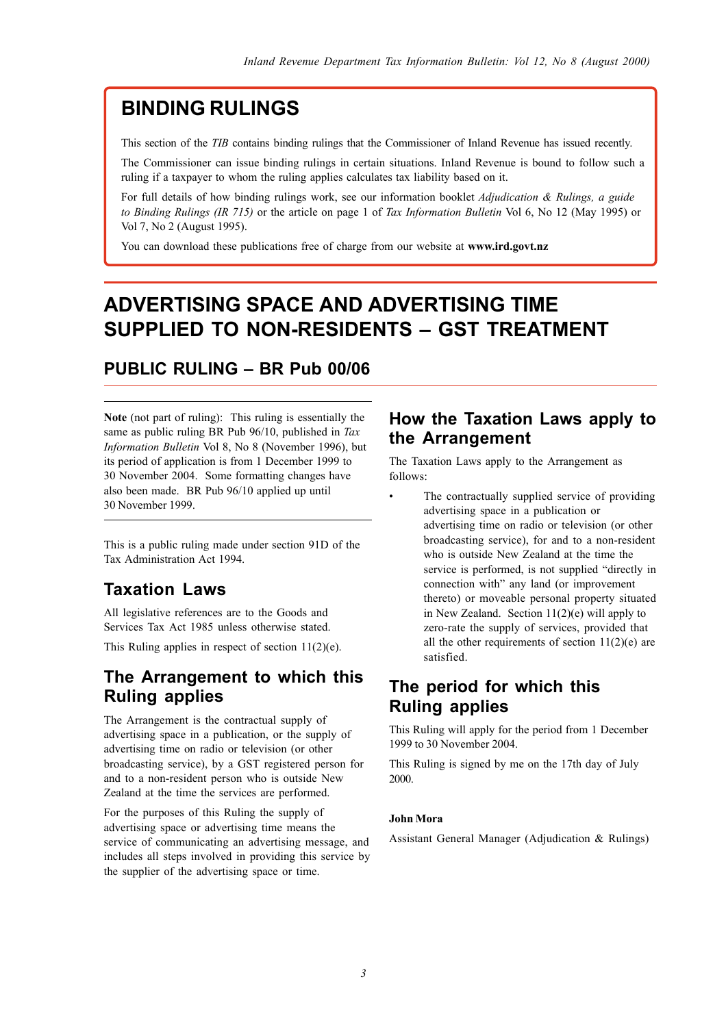# **BINDING RULINGS**

This section of the *TIB* contains binding rulings that the Commissioner of Inland Revenue has issued recently.

The Commissioner can issue binding rulings in certain situations. Inland Revenue is bound to follow such a ruling if a taxpayer to whom the ruling applies calculates tax liability based on it.

For full details of how binding rulings work, see our information booklet *Adjudication & Rulings, a guide to Binding Rulings (IR 715)* or the article on page 1 of *Tax Information Bulletin* Vol 6, No 12 (May 1995) or Vol 7, No 2 (August 1995).

You can download these publications free of charge from our website at **www.ird.govt.nz**

# **ADVERTISING SPACE AND ADVERTISING TIME SUPPLIED TO NON-RESIDENTS – GST TREATMENT**

# **PUBLIC RULING – BR Pub 00/06**

**Note** (not part of ruling): This ruling is essentially the same as public ruling BR Pub 96/10, published in *Tax Information Bulletin* Vol 8, No 8 (November 1996), but its period of application is from 1 December 1999 to 30 November 2004. Some formatting changes have also been made. BR Pub 96/10 applied up until 30 November 1999.

This is a public ruling made under section 91D of the Tax Administration Act 1994.

# **Taxation Laws**

All legislative references are to the Goods and Services Tax Act 1985 unless otherwise stated.

This Ruling applies in respect of section 11(2)(e).

# **The Arrangement to which this Ruling applies**

The Arrangement is the contractual supply of advertising space in a publication, or the supply of advertising time on radio or television (or other broadcasting service), by a GST registered person for and to a non-resident person who is outside New Zealand at the time the services are performed.

For the purposes of this Ruling the supply of advertising space or advertising time means the service of communicating an advertising message, and includes all steps involved in providing this service by the supplier of the advertising space or time.

# **How the Taxation Laws apply to the Arrangement**

The Taxation Laws apply to the Arrangement as follows:

The contractually supplied service of providing advertising space in a publication or advertising time on radio or television (or other broadcasting service), for and to a non-resident who is outside New Zealand at the time the service is performed, is not supplied "directly in connection with" any land (or improvement thereto) or moveable personal property situated in New Zealand. Section  $11(2)(e)$  will apply to zero-rate the supply of services, provided that all the other requirements of section  $11(2)(e)$  are satisfied.

# **The period for which this Ruling applies**

This Ruling will apply for the period from 1 December 1999 to 30 November 2004.

This Ruling is signed by me on the 17th day of July 2000.

### **John Mora**

Assistant General Manager (Adjudication & Rulings)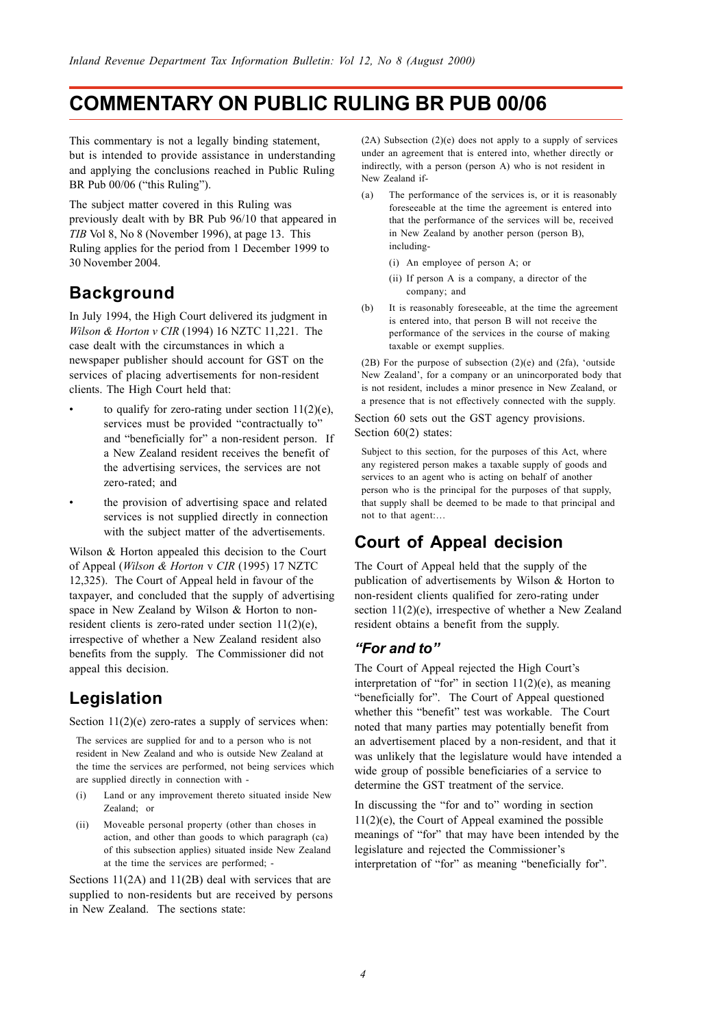# **COMMENTARY ON PUBLIC RULING BR PUB 00/06**

This commentary is not a legally binding statement, but is intended to provide assistance in understanding and applying the conclusions reached in Public Ruling BR Pub 00/06 ("this Ruling").

The subject matter covered in this Ruling was previously dealt with by BR Pub 96/10 that appeared in *TIB* Vol 8, No 8 (November 1996), at page 13. This Ruling applies for the period from 1 December 1999 to 30 November 2004.

# **Background**

In July 1994, the High Court delivered its judgment in *Wilson & Horton v CIR* (1994) 16 NZTC 11,221. The case dealt with the circumstances in which a newspaper publisher should account for GST on the services of placing advertisements for non-resident clients. The High Court held that:

- to qualify for zero-rating under section  $11(2)(e)$ , services must be provided "contractually to" and "beneficially for" a non-resident person. If a New Zealand resident receives the benefit of the advertising services, the services are not zero-rated; and
- the provision of advertising space and related services is not supplied directly in connection with the subject matter of the advertisements.

Wilson & Horton appealed this decision to the Court of Appeal (*Wilson & Horton* v *CIR* (1995) 17 NZTC 12,325). The Court of Appeal held in favour of the taxpayer, and concluded that the supply of advertising space in New Zealand by Wilson & Horton to nonresident clients is zero-rated under section 11(2)(e), irrespective of whether a New Zealand resident also benefits from the supply. The Commissioner did not appeal this decision.

# **Legislation**

Section  $11(2)(e)$  zero-rates a supply of services when:

The services are supplied for and to a person who is not resident in New Zealand and who is outside New Zealand at the time the services are performed, not being services which are supplied directly in connection with -

- (i) Land or any improvement thereto situated inside New Zealand; or
- (ii) Moveable personal property (other than choses in action, and other than goods to which paragraph (ca) of this subsection applies) situated inside New Zealand at the time the services are performed; -

Sections 11(2A) and 11(2B) deal with services that are supplied to non-residents but are received by persons in New Zealand. The sections state:

(2A) Subsection (2)(e) does not apply to a supply of services under an agreement that is entered into, whether directly or indirectly, with a person (person A) who is not resident in New Zealand if-

- (a) The performance of the services is, or it is reasonably foreseeable at the time the agreement is entered into that the performance of the services will be, received in New Zealand by another person (person B), including-
	- (i) An employee of person A; or
	- (ii) If person A is a company, a director of the company; and
- (b) It is reasonably foreseeable, at the time the agreement is entered into, that person B will not receive the performance of the services in the course of making taxable or exempt supplies.

(2B) For the purpose of subsection (2)(e) and (2fa), 'outside New Zealand', for a company or an unincorporated body that is not resident, includes a minor presence in New Zealand, or a presence that is not effectively connected with the supply.

Section 60 sets out the GST agency provisions. Section 60(2) states:

Subject to this section, for the purposes of this Act, where any registered person makes a taxable supply of goods and services to an agent who is acting on behalf of another person who is the principal for the purposes of that supply, that supply shall be deemed to be made to that principal and not to that agent:…

# **Court of Appeal decision**

The Court of Appeal held that the supply of the publication of advertisements by Wilson & Horton to non-resident clients qualified for zero-rating under section 11(2)(e), irrespective of whether a New Zealand resident obtains a benefit from the supply.

### *"For and to"*

The Court of Appeal rejected the High Court's interpretation of "for" in section  $11(2)(e)$ , as meaning "beneficially for". The Court of Appeal questioned whether this "benefit" test was workable. The Court noted that many parties may potentially benefit from an advertisement placed by a non-resident, and that it was unlikely that the legislature would have intended a wide group of possible beneficiaries of a service to determine the GST treatment of the service.

In discussing the "for and to" wording in section 11(2)(e), the Court of Appeal examined the possible meanings of "for" that may have been intended by the legislature and rejected the Commissioner's interpretation of "for" as meaning "beneficially for".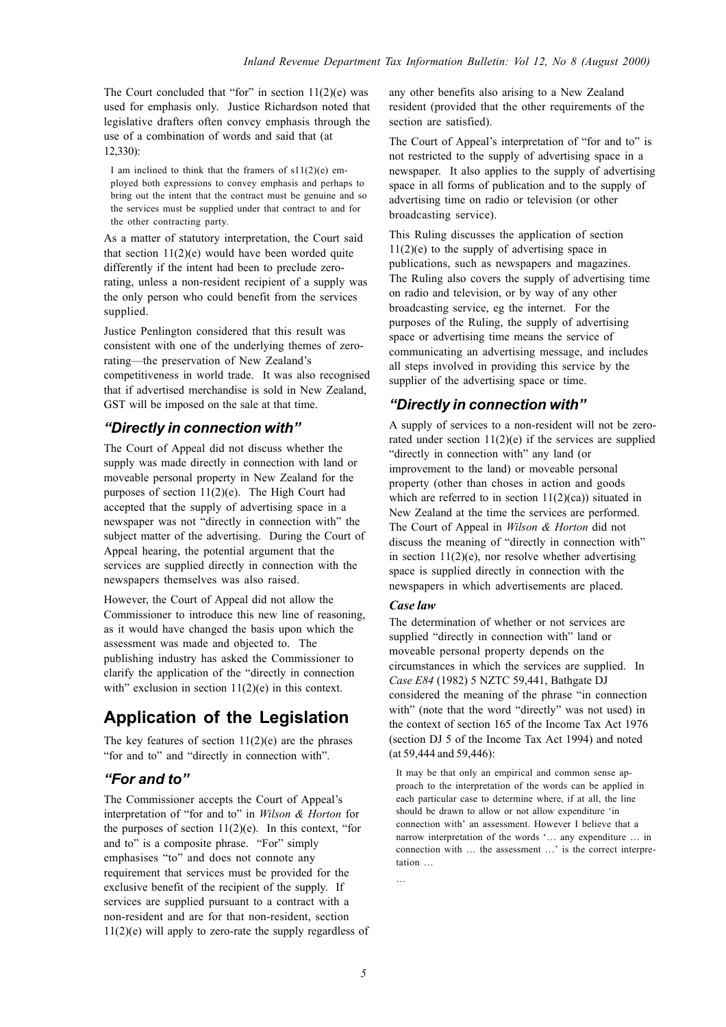The Court concluded that "for" in section  $11(2)(e)$  was used for emphasis only. Justice Richardson noted that legislative drafters often convey emphasis through the use of a combination of words and said that (at  $12,330$ 

I am inclined to think that the framers of  $s11(2)(e)$  employed both expressions to convey emphasis and perhaps to bring out the intent that the contract must be genuine and so the services must be supplied under that contract to and for the other contracting party.

As a matter of statutory interpretation, the Court said that section  $11(2)(e)$  would have been worded quite differently if the intent had been to preclude zerorating, unless a non-resident recipient of a supply was the only person who could benefit from the services supplied.

Justice Penlington considered that this result was consistent with one of the underlying themes of zerorating—the preservation of New Zealand's competitiveness in world trade. It was also recognised that if advertised merchandise is sold in New Zealand, GST will be imposed on the sale at that time.

### *"Directly in connection with"*

The Court of Appeal did not discuss whether the supply was made directly in connection with land or moveable personal property in New Zealand for the purposes of section  $11(2)(e)$ . The High Court had accepted that the supply of advertising space in a newspaper was not "directly in connection with" the subject matter of the advertising. During the Court of Appeal hearing, the potential argument that the services are supplied directly in connection with the newspapers themselves was also raised.

However, the Court of Appeal did not allow the Commissioner to introduce this new line of reasoning, as it would have changed the basis upon which the assessment was made and objected to. The publishing industry has asked the Commissioner to clarify the application of the "directly in connection with" exclusion in section  $11(2)(e)$  in this context.

# **Application of the Legislation**

The key features of section  $11(2)(e)$  are the phrases "for and to" and "directly in connection with".

### *"For and to"*

The Commissioner accepts the Court of Appeal's interpretation of "for and to" in *Wilson & Horton* for the purposes of section  $11(2)(e)$ . In this context, "for and to" is a composite phrase. "For" simply emphasises "to" and does not connote any requirement that services must be provided for the exclusive benefit of the recipient of the supply. If services are supplied pursuant to a contract with a non-resident and are for that non-resident, section 11(2)(e) will apply to zero-rate the supply regardless of any other benefits also arising to a New Zealand resident (provided that the other requirements of the section are satisfied).

The Court of Appeal's interpretation of "for and to" is not restricted to the supply of advertising space in a newspaper. It also applies to the supply of advertising space in all forms of publication and to the supply of advertising time on radio or television (or other broadcasting service).

This Ruling discusses the application of section  $11(2)(e)$  to the supply of advertising space in publications, such as newspapers and magazines. The Ruling also covers the supply of advertising time on radio and television, or by way of any other broadcasting service, eg the internet. For the purposes of the Ruling, the supply of advertising space or advertising time means the service of communicating an advertising message, and includes all steps involved in providing this service by the supplier of the advertising space or time.

### *"Directly in connection with"*

A supply of services to a non-resident will not be zerorated under section  $11(2)(e)$  if the services are supplied "directly in connection with" any land (or improvement to the land) or moveable personal property (other than choses in action and goods which are referred to in section  $11(2)(ca)$ ) situated in New Zealand at the time the services are performed. The Court of Appeal in *Wilson & Horton* did not discuss the meaning of "directly in connection with" in section  $11(2)(e)$ , nor resolve whether advertising space is supplied directly in connection with the newspapers in which advertisements are placed.

### *Case law*

The determination of whether or not services are supplied "directly in connection with" land or moveable personal property depends on the circumstances in which the services are supplied. In *Case E84* (1982) 5 NZTC 59,441, Bathgate DJ considered the meaning of the phrase "in connection with" (note that the word "directly" was not used) in the context of section 165 of the Income Tax Act 1976 (section DJ 5 of the Income Tax Act 1994) and noted (at 59,444 and 59,446):

It may be that only an empirical and common sense approach to the interpretation of the words can be applied in each particular case to determine where, if at all, the line should be drawn to allow or not allow expenditure 'in connection with' an assessment. However I believe that a narrow interpretation of the words '… any expenditure … in connection with … the assessment …' is the correct interpretation …

…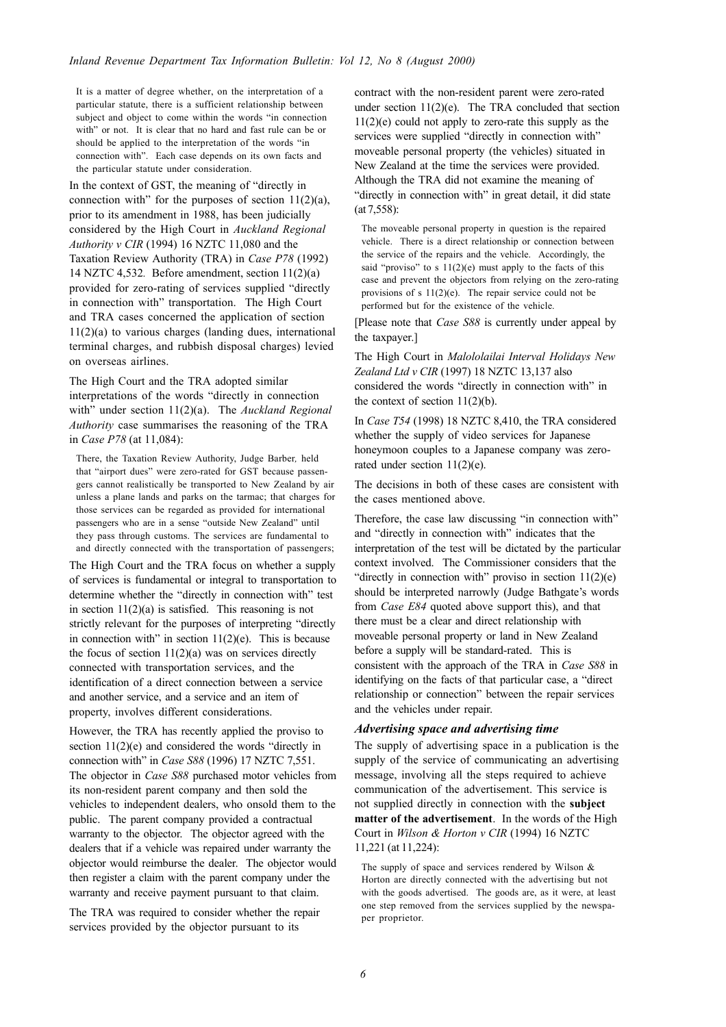It is a matter of degree whether, on the interpretation of a particular statute, there is a sufficient relationship between subject and object to come within the words "in connection with" or not. It is clear that no hard and fast rule can be or should be applied to the interpretation of the words "in connection with". Each case depends on its own facts and the particular statute under consideration.

In the context of GST, the meaning of "directly in connection with" for the purposes of section  $11(2)(a)$ , prior to its amendment in 1988, has been judicially considered by the High Court in *Auckland Regional Authority v CIR* (1994) 16 NZTC 11,080 and the Taxation Review Authority (TRA) in *Case P78* (1992) 14 NZTC 4,532*.* Before amendment, section 11(2)(a) provided for zero-rating of services supplied "directly in connection with" transportation. The High Court and TRA cases concerned the application of section 11(2)(a) to various charges (landing dues, international terminal charges, and rubbish disposal charges) levied on overseas airlines.

The High Court and the TRA adopted similar interpretations of the words "directly in connection with" under section 11(2)(a). The *Auckland Regional Authority* case summarises the reasoning of the TRA in *Case P78* (at 11,084):

There, the Taxation Review Authority, Judge Barber*,* held that "airport dues" were zero-rated for GST because passengers cannot realistically be transported to New Zealand by air unless a plane lands and parks on the tarmac; that charges for those services can be regarded as provided for international passengers who are in a sense "outside New Zealand" until they pass through customs. The services are fundamental to and directly connected with the transportation of passengers;

The High Court and the TRA focus on whether a supply of services is fundamental or integral to transportation to determine whether the "directly in connection with" test in section 11(2)(a) is satisfied. This reasoning is not strictly relevant for the purposes of interpreting "directly in connection with" in section  $11(2)(e)$ . This is because the focus of section  $11(2)(a)$  was on services directly connected with transportation services, and the identification of a direct connection between a service and another service, and a service and an item of property, involves different considerations.

However, the TRA has recently applied the proviso to section  $11(2)(e)$  and considered the words "directly in connection with" in *Case S88* (1996) 17 NZTC 7,551. The objector in *Case S88* purchased motor vehicles from its non-resident parent company and then sold the vehicles to independent dealers, who onsold them to the public. The parent company provided a contractual warranty to the objector. The objector agreed with the dealers that if a vehicle was repaired under warranty the objector would reimburse the dealer. The objector would then register a claim with the parent company under the warranty and receive payment pursuant to that claim.

The TRA was required to consider whether the repair services provided by the objector pursuant to its

contract with the non-resident parent were zero-rated under section  $11(2)(e)$ . The TRA concluded that section  $11(2)(e)$  could not apply to zero-rate this supply as the services were supplied "directly in connection with" moveable personal property (the vehicles) situated in New Zealand at the time the services were provided. Although the TRA did not examine the meaning of "directly in connection with" in great detail, it did state  $(at 7,558)$ 

The moveable personal property in question is the repaired vehicle. There is a direct relationship or connection between the service of the repairs and the vehicle. Accordingly, the said "proviso" to s  $11(2)(e)$  must apply to the facts of this case and prevent the objectors from relying on the zero-rating provisions of s 11(2)(e). The repair service could not be performed but for the existence of the vehicle.

[Please note that *Case S88* is currently under appeal by the taxpayer.]

The High Court in *Malololailai Interval Holidays New Zealand Ltd v CIR* (1997) 18 NZTC 13,137 also considered the words "directly in connection with" in the context of section 11(2)(b).

In *Case T54* (1998) 18 NZTC 8,410, the TRA considered whether the supply of video services for Japanese honeymoon couples to a Japanese company was zerorated under section 11(2)(e).

The decisions in both of these cases are consistent with the cases mentioned above.

Therefore, the case law discussing "in connection with" and "directly in connection with" indicates that the interpretation of the test will be dictated by the particular context involved. The Commissioner considers that the "directly in connection with" proviso in section  $11(2)(e)$ should be interpreted narrowly (Judge Bathgate's words from *Case E84* quoted above support this), and that there must be a clear and direct relationship with moveable personal property or land in New Zealand before a supply will be standard-rated. This is consistent with the approach of the TRA in *Case S88* in identifying on the facts of that particular case, a "direct relationship or connection" between the repair services and the vehicles under repair.

### *Advertising space and advertising time*

The supply of advertising space in a publication is the supply of the service of communicating an advertising message, involving all the steps required to achieve communication of the advertisement. This service is not supplied directly in connection with the **subject matter of the advertisement**. In the words of the High Court in *Wilson & Horton v CIR* (1994) 16 NZTC 11,221 (at 11,224):

The supply of space and services rendered by Wilson & Horton are directly connected with the advertising but not with the goods advertised. The goods are, as it were, at least one step removed from the services supplied by the newspaper proprietor.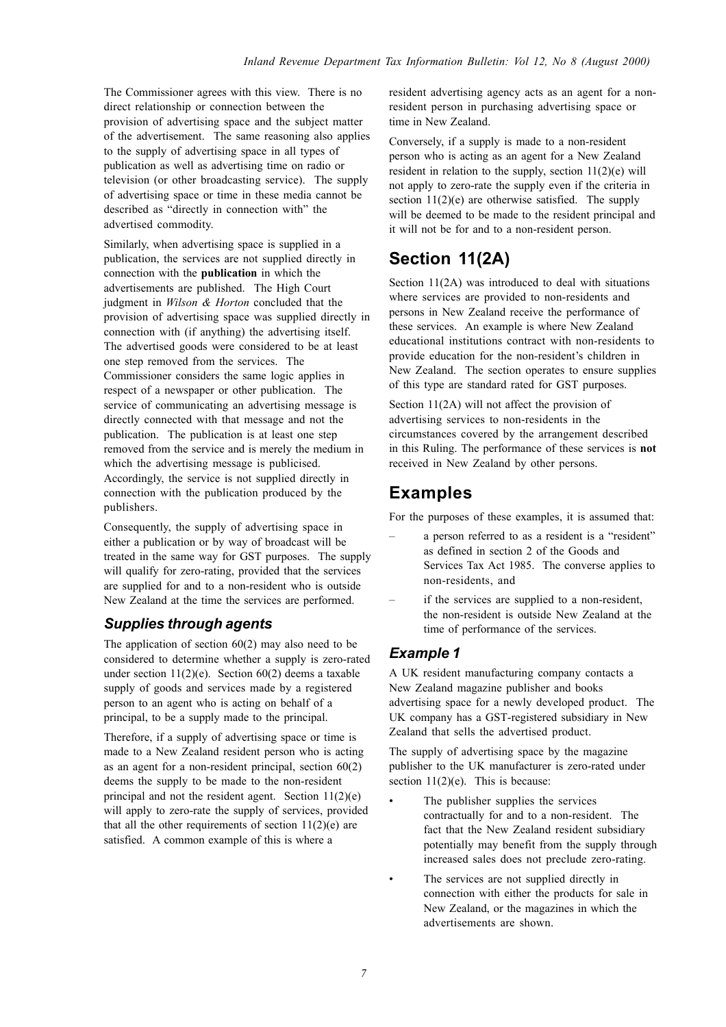The Commissioner agrees with this view. There is no direct relationship or connection between the provision of advertising space and the subject matter of the advertisement. The same reasoning also applies to the supply of advertising space in all types of publication as well as advertising time on radio or television (or other broadcasting service). The supply of advertising space or time in these media cannot be described as "directly in connection with" the advertised commodity.

Similarly, when advertising space is supplied in a publication, the services are not supplied directly in connection with the **publication** in which the advertisements are published. The High Court judgment in *Wilson & Horton* concluded that the provision of advertising space was supplied directly in connection with (if anything) the advertising itself. The advertised goods were considered to be at least one step removed from the services. The Commissioner considers the same logic applies in respect of a newspaper or other publication. The service of communicating an advertising message is directly connected with that message and not the publication. The publication is at least one step removed from the service and is merely the medium in which the advertising message is publicised. Accordingly, the service is not supplied directly in connection with the publication produced by the publishers.

Consequently, the supply of advertising space in either a publication or by way of broadcast will be treated in the same way for GST purposes. The supply will qualify for zero-rating, provided that the services are supplied for and to a non-resident who is outside New Zealand at the time the services are performed.

## *Supplies through agents*

The application of section 60(2) may also need to be considered to determine whether a supply is zero-rated under section  $11(2)(e)$ . Section  $60(2)$  deems a taxable supply of goods and services made by a registered person to an agent who is acting on behalf of a principal, to be a supply made to the principal.

Therefore, if a supply of advertising space or time is made to a New Zealand resident person who is acting as an agent for a non-resident principal, section 60(2) deems the supply to be made to the non-resident principal and not the resident agent. Section 11(2)(e) will apply to zero-rate the supply of services, provided that all the other requirements of section  $11(2)(e)$  are satisfied. A common example of this is where a

resident advertising agency acts as an agent for a nonresident person in purchasing advertising space or time in New Zealand.

Conversely, if a supply is made to a non-resident person who is acting as an agent for a New Zealand resident in relation to the supply, section 11(2)(e) will not apply to zero-rate the supply even if the criteria in section  $11(2)(e)$  are otherwise satisfied. The supply will be deemed to be made to the resident principal and it will not be for and to a non-resident person.

# **Section 11(2A)**

Section 11(2A) was introduced to deal with situations where services are provided to non-residents and persons in New Zealand receive the performance of these services. An example is where New Zealand educational institutions contract with non-residents to provide education for the non-resident's children in New Zealand. The section operates to ensure supplies of this type are standard rated for GST purposes.

Section 11(2A) will not affect the provision of advertising services to non-residents in the circumstances covered by the arrangement described in this Ruling. The performance of these services is **not** received in New Zealand by other persons.

# **Examples**

For the purposes of these examples, it is assumed that:

- a person referred to as a resident is a "resident" as defined in section 2 of the Goods and Services Tax Act 1985. The converse applies to non-residents, and
- if the services are supplied to a non-resident, the non-resident is outside New Zealand at the time of performance of the services.

### *Example 1*

A UK resident manufacturing company contacts a New Zealand magazine publisher and books advertising space for a newly developed product. The UK company has a GST-registered subsidiary in New Zealand that sells the advertised product.

The supply of advertising space by the magazine publisher to the UK manufacturer is zero-rated under section  $11(2)(e)$ . This is because:

- The publisher supplies the services contractually for and to a non-resident. The fact that the New Zealand resident subsidiary potentially may benefit from the supply through increased sales does not preclude zero-rating.
- The services are not supplied directly in connection with either the products for sale in New Zealand, or the magazines in which the advertisements are shown.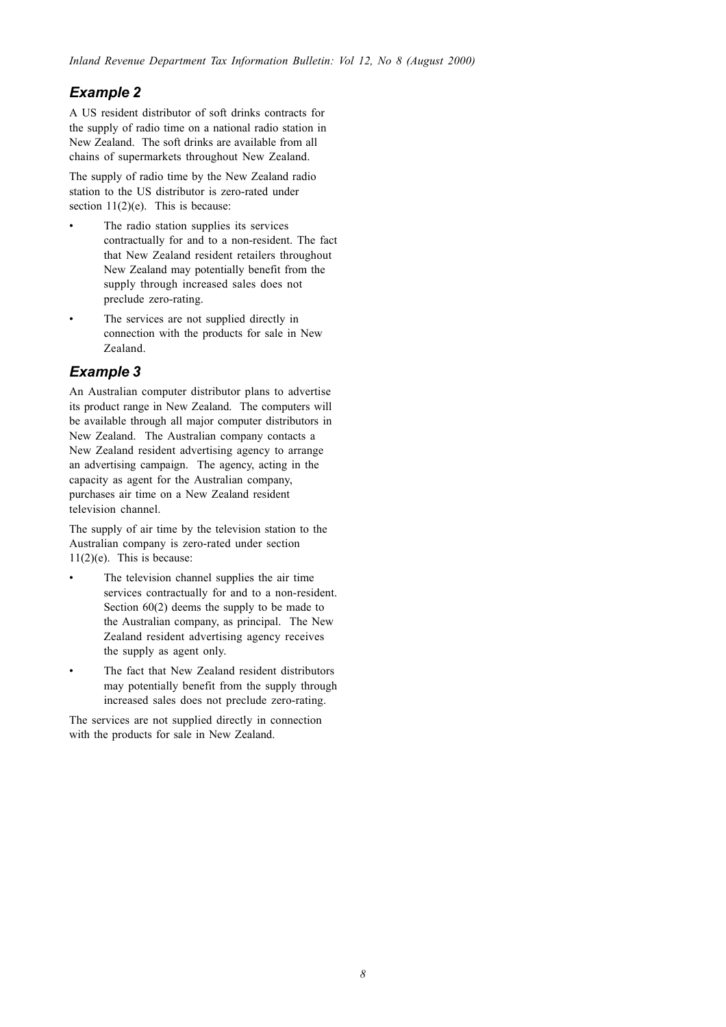### *Example 2*

A US resident distributor of soft drinks contracts for the supply of radio time on a national radio station in New Zealand. The soft drinks are available from all chains of supermarkets throughout New Zealand.

The supply of radio time by the New Zealand radio station to the US distributor is zero-rated under section 11(2)(e). This is because:

- The radio station supplies its services contractually for and to a non-resident. The fact that New Zealand resident retailers throughout New Zealand may potentially benefit from the supply through increased sales does not preclude zero-rating.
- The services are not supplied directly in connection with the products for sale in New Zealand.

### *Example 3*

An Australian computer distributor plans to advertise its product range in New Zealand. The computers will be available through all major computer distributors in New Zealand. The Australian company contacts a New Zealand resident advertising agency to arrange an advertising campaign. The agency, acting in the capacity as agent for the Australian company, purchases air time on a New Zealand resident television channel.

The supply of air time by the television station to the Australian company is zero-rated under section  $11(2)(e)$ . This is because:

- The television channel supplies the air time services contractually for and to a non-resident. Section  $60(2)$  deems the supply to be made to the Australian company, as principal. The New Zealand resident advertising agency receives the supply as agent only.
- The fact that New Zealand resident distributors may potentially benefit from the supply through increased sales does not preclude zero-rating.

The services are not supplied directly in connection with the products for sale in New Zealand.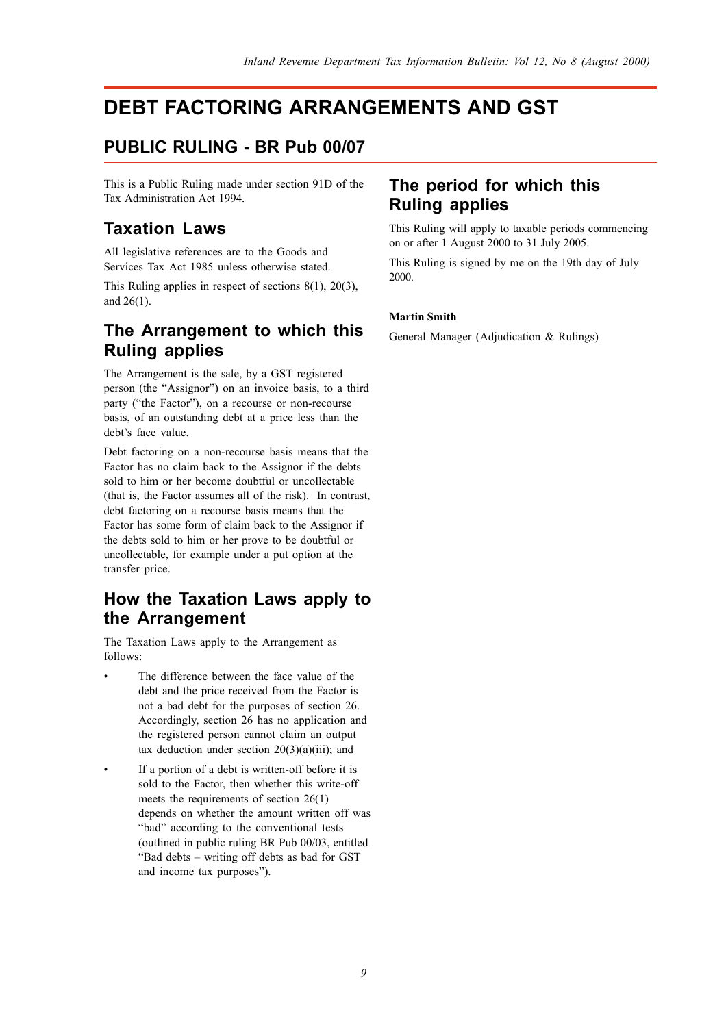# **DEBT FACTORING ARRANGEMENTS AND GST**

# **PUBLIC RULING - BR Pub 00/07**

This is a Public Ruling made under section 91D of the Tax Administration Act 1994.

# **Taxation Laws**

All legislative references are to the Goods and Services Tax Act 1985 unless otherwise stated.

This Ruling applies in respect of sections 8(1), 20(3), and 26(1).

# **The Arrangement to which this Ruling applies**

The Arrangement is the sale, by a GST registered person (the "Assignor") on an invoice basis, to a third party ("the Factor"), on a recourse or non-recourse basis, of an outstanding debt at a price less than the debt's face value.

Debt factoring on a non-recourse basis means that the Factor has no claim back to the Assignor if the debts sold to him or her become doubtful or uncollectable (that is, the Factor assumes all of the risk). In contrast, debt factoring on a recourse basis means that the Factor has some form of claim back to the Assignor if the debts sold to him or her prove to be doubtful or uncollectable, for example under a put option at the transfer price.

# **How the Taxation Laws apply to the Arrangement**

The Taxation Laws apply to the Arrangement as follows:

- The difference between the face value of the debt and the price received from the Factor is not a bad debt for the purposes of section 26. Accordingly, section 26 has no application and the registered person cannot claim an output tax deduction under section  $20(3)(a)(iii)$ ; and
- If a portion of a debt is written-off before it is sold to the Factor, then whether this write-off meets the requirements of section 26(1) depends on whether the amount written off was "bad" according to the conventional tests (outlined in public ruling BR Pub 00/03, entitled "Bad debts – writing off debts as bad for GST and income tax purposes").

# **The period for which this Ruling applies**

This Ruling will apply to taxable periods commencing on or after 1 August 2000 to 31 July 2005.

This Ruling is signed by me on the 19th day of July 2000.

### **Martin Smith**

General Manager (Adjudication & Rulings)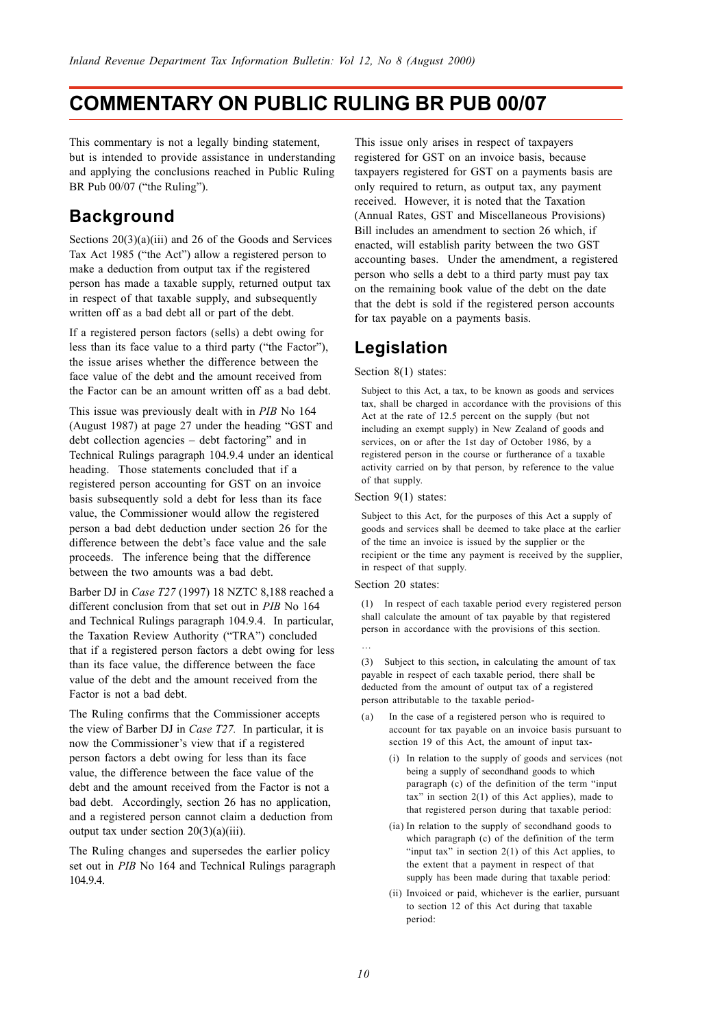# **COMMENTARY ON PUBLIC RULING BR PUB 00/07**

This commentary is not a legally binding statement, but is intended to provide assistance in understanding and applying the conclusions reached in Public Ruling BR Pub 00/07 ("the Ruling").

# **Background**

Sections  $20(3)(a)(iii)$  and 26 of the Goods and Services Tax Act 1985 ("the Act") allow a registered person to make a deduction from output tax if the registered person has made a taxable supply, returned output tax in respect of that taxable supply, and subsequently written off as a bad debt all or part of the debt.

If a registered person factors (sells) a debt owing for less than its face value to a third party ("the Factor"), the issue arises whether the difference between the face value of the debt and the amount received from the Factor can be an amount written off as a bad debt.

This issue was previously dealt with in *PIB* No 164 (August 1987) at page 27 under the heading "GST and debt collection agencies – debt factoring" and in Technical Rulings paragraph 104.9.4 under an identical heading. Those statements concluded that if a registered person accounting for GST on an invoice basis subsequently sold a debt for less than its face value, the Commissioner would allow the registered person a bad debt deduction under section 26 for the difference between the debt's face value and the sale proceeds. The inference being that the difference between the two amounts was a bad debt.

Barber DJ in *Case T27* (1997) 18 NZTC 8,188 reached a different conclusion from that set out in *PIB* No 164 and Technical Rulings paragraph 104.9.4. In particular, the Taxation Review Authority ("TRA") concluded that if a registered person factors a debt owing for less than its face value, the difference between the face value of the debt and the amount received from the Factor is not a bad debt.

The Ruling confirms that the Commissioner accepts the view of Barber DJ in *Case T27.* In particular, it is now the Commissioner's view that if a registered person factors a debt owing for less than its face value, the difference between the face value of the debt and the amount received from the Factor is not a bad debt. Accordingly, section 26 has no application, and a registered person cannot claim a deduction from output tax under section  $20(3)(a)(iii)$ .

The Ruling changes and supersedes the earlier policy set out in *PIB* No 164 and Technical Rulings paragraph 104.9.4.

This issue only arises in respect of taxpayers registered for GST on an invoice basis, because taxpayers registered for GST on a payments basis are only required to return, as output tax, any payment received. However, it is noted that the Taxation (Annual Rates, GST and Miscellaneous Provisions) Bill includes an amendment to section 26 which, if enacted, will establish parity between the two GST accounting bases. Under the amendment, a registered person who sells a debt to a third party must pay tax on the remaining book value of the debt on the date that the debt is sold if the registered person accounts for tax payable on a payments basis.

# **Legislation**

Section 8(1) states:

Subject to this Act, a tax, to be known as goods and services tax, shall be charged in accordance with the provisions of this Act at the rate of 12.5 percent on the supply (but not including an exempt supply) in New Zealand of goods and services, on or after the 1st day of October 1986, by a registered person in the course or furtherance of a taxable activity carried on by that person, by reference to the value of that supply.

Section 9(1) states:

Subject to this Act, for the purposes of this Act a supply of goods and services shall be deemed to take place at the earlier of the time an invoice is issued by the supplier or the recipient or the time any payment is received by the supplier, in respect of that supply.

Section 20 states:

(1) In respect of each taxable period every registered person shall calculate the amount of tax payable by that registered person in accordance with the provisions of this section.

…

(3) Subject to this section**,** in calculating the amount of tax payable in respect of each taxable period, there shall be deducted from the amount of output tax of a registered person attributable to the taxable period-

- (a) In the case of a registered person who is required to account for tax payable on an invoice basis pursuant to section 19 of this Act, the amount of input tax-
	- (i) In relation to the supply of goods and services (not being a supply of secondhand goods to which paragraph (c) of the definition of the term "input tax" in section  $2(1)$  of this Act applies), made to that registered person during that taxable period:
	- (ia) In relation to the supply of secondhand goods to which paragraph (c) of the definition of the term "input tax" in section  $2(1)$  of this Act applies, to the extent that a payment in respect of that supply has been made during that taxable period:
	- (ii) Invoiced or paid, whichever is the earlier, pursuant to section 12 of this Act during that taxable period: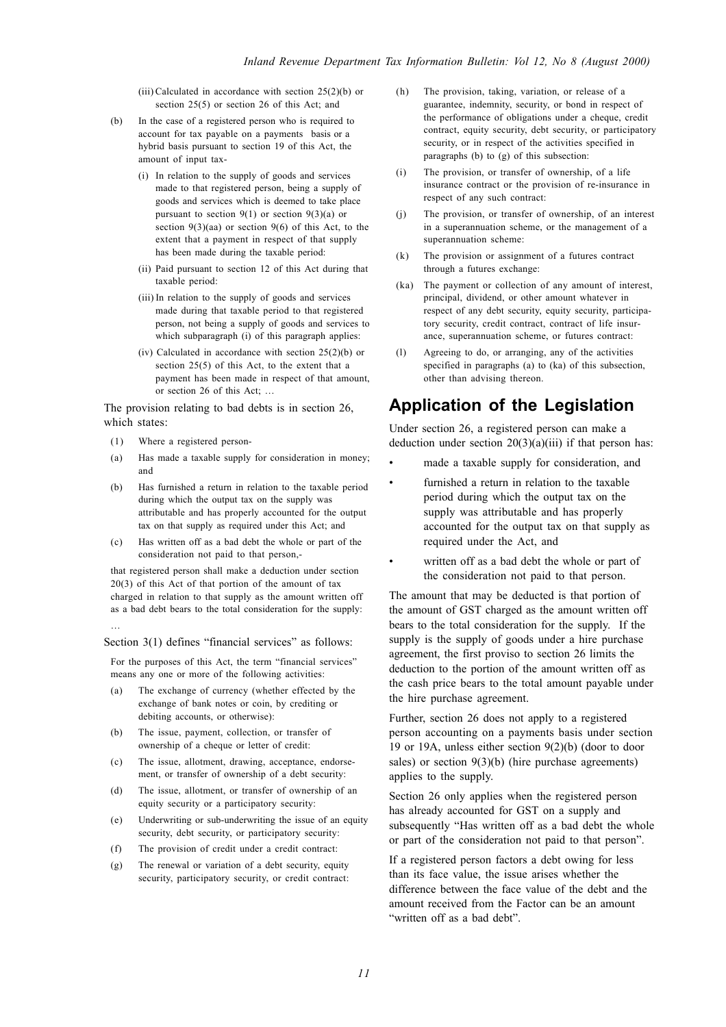- (iii) Calculated in accordance with section 25(2)(b) or section 25(5) or section 26 of this Act; and
- (b) In the case of a registered person who is required to account for tax payable on a payments basis or a hybrid basis pursuant to section 19 of this Act, the amount of input tax-
	- (i) In relation to the supply of goods and services made to that registered person, being a supply of goods and services which is deemed to take place pursuant to section  $9(1)$  or section  $9(3)(a)$  or section  $9(3)(aa)$  or section  $9(6)$  of this Act, to the extent that a payment in respect of that supply has been made during the taxable period:
	- (ii) Paid pursuant to section 12 of this Act during that taxable period:
	- (iii) In relation to the supply of goods and services made during that taxable period to that registered person, not being a supply of goods and services to which subparagraph (i) of this paragraph applies:
	- (iv) Calculated in accordance with section  $25(2)(b)$  or section 25(5) of this Act, to the extent that a payment has been made in respect of that amount, or section 26 of this Act; …

The provision relating to bad debts is in section 26, which states:

(1) Where a registered person-

…

- (a) Has made a taxable supply for consideration in money; and
- (b) Has furnished a return in relation to the taxable period during which the output tax on the supply was attributable and has properly accounted for the output tax on that supply as required under this Act; and
- (c) Has written off as a bad debt the whole or part of the consideration not paid to that person,-

that registered person shall make a deduction under section 20(3) of this Act of that portion of the amount of tax charged in relation to that supply as the amount written off as a bad debt bears to the total consideration for the supply:

Section 3(1) defines "financial services" as follows:

For the purposes of this Act, the term "financial services" means any one or more of the following activities:

- (a) The exchange of currency (whether effected by the exchange of bank notes or coin, by crediting or debiting accounts, or otherwise):
- (b) The issue, payment, collection, or transfer of ownership of a cheque or letter of credit:
- (c) The issue, allotment, drawing, acceptance, endorsement, or transfer of ownership of a debt security:
- (d) The issue, allotment, or transfer of ownership of an equity security or a participatory security:
- (e) Underwriting or sub-underwriting the issue of an equity security, debt security, or participatory security:
- (f) The provision of credit under a credit contract:
- (g) The renewal or variation of a debt security, equity security, participatory security, or credit contract:
- (h) The provision, taking, variation, or release of a guarantee, indemnity, security, or bond in respect of the performance of obligations under a cheque, credit contract, equity security, debt security, or participatory security, or in respect of the activities specified in paragraphs (b) to (g) of this subsection:
- (i) The provision, or transfer of ownership, of a life insurance contract or the provision of re-insurance in respect of any such contract:
- (j) The provision, or transfer of ownership, of an interest in a superannuation scheme, or the management of a superannuation scheme:
- (k) The provision or assignment of a futures contract through a futures exchange:
- (ka) The payment or collection of any amount of interest, principal, dividend, or other amount whatever in respect of any debt security, equity security, participatory security, credit contract, contract of life insurance, superannuation scheme, or futures contract:
- (l) Agreeing to do, or arranging, any of the activities specified in paragraphs (a) to (ka) of this subsection, other than advising thereon.

# **Application of the Legislation**

Under section 26, a registered person can make a deduction under section  $20(3)(a)(iii)$  if that person has:

- made a taxable supply for consideration, and
- furnished a return in relation to the taxable period during which the output tax on the supply was attributable and has properly accounted for the output tax on that supply as required under the Act, and
- written off as a bad debt the whole or part of the consideration not paid to that person.

The amount that may be deducted is that portion of the amount of GST charged as the amount written off bears to the total consideration for the supply. If the supply is the supply of goods under a hire purchase agreement, the first proviso to section 26 limits the deduction to the portion of the amount written off as the cash price bears to the total amount payable under the hire purchase agreement.

Further, section 26 does not apply to a registered person accounting on a payments basis under section 19 or 19A, unless either section 9(2)(b) (door to door sales) or section  $9(3)(b)$  (hire purchase agreements) applies to the supply.

Section 26 only applies when the registered person has already accounted for GST on a supply and subsequently "Has written off as a bad debt the whole or part of the consideration not paid to that person".

If a registered person factors a debt owing for less than its face value, the issue arises whether the difference between the face value of the debt and the amount received from the Factor can be an amount "written off as a bad debt".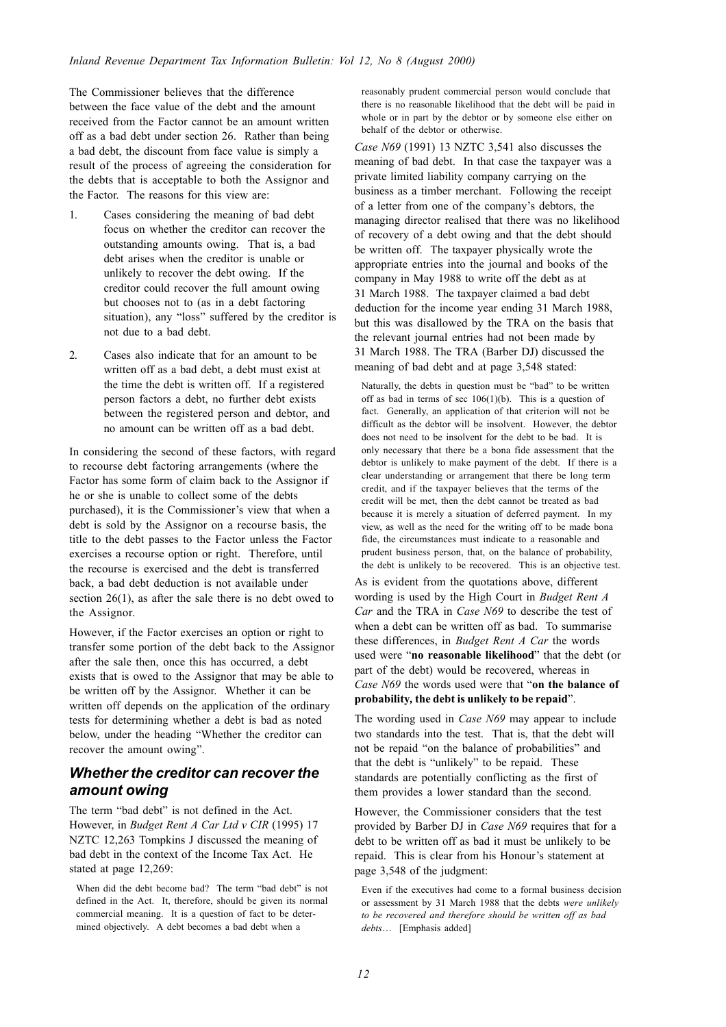The Commissioner believes that the difference between the face value of the debt and the amount received from the Factor cannot be an amount written off as a bad debt under section 26. Rather than being a bad debt, the discount from face value is simply a result of the process of agreeing the consideration for the debts that is acceptable to both the Assignor and the Factor. The reasons for this view are:

- 1. Cases considering the meaning of bad debt focus on whether the creditor can recover the outstanding amounts owing. That is, a bad debt arises when the creditor is unable or unlikely to recover the debt owing. If the creditor could recover the full amount owing but chooses not to (as in a debt factoring situation), any "loss" suffered by the creditor is not due to a bad debt.
- 2. Cases also indicate that for an amount to be written off as a bad debt, a debt must exist at the time the debt is written off. If a registered person factors a debt, no further debt exists between the registered person and debtor, and no amount can be written off as a bad debt.

In considering the second of these factors, with regard to recourse debt factoring arrangements (where the Factor has some form of claim back to the Assignor if he or she is unable to collect some of the debts purchased), it is the Commissioner's view that when a debt is sold by the Assignor on a recourse basis, the title to the debt passes to the Factor unless the Factor exercises a recourse option or right. Therefore, until the recourse is exercised and the debt is transferred back, a bad debt deduction is not available under section 26(1), as after the sale there is no debt owed to the Assignor.

However, if the Factor exercises an option or right to transfer some portion of the debt back to the Assignor after the sale then, once this has occurred, a debt exists that is owed to the Assignor that may be able to be written off by the Assignor. Whether it can be written off depends on the application of the ordinary tests for determining whether a debt is bad as noted below, under the heading "Whether the creditor can recover the amount owing".

### *Whether the creditor can recover the amount owing*

The term "bad debt" is not defined in the Act. However, in *Budget Rent A Car Ltd v CIR* (1995) 17 NZTC 12,263 Tompkins J discussed the meaning of bad debt in the context of the Income Tax Act. He stated at page 12,269:

When did the debt become bad? The term "bad debt" is not defined in the Act. It, therefore, should be given its normal commercial meaning. It is a question of fact to be determined objectively. A debt becomes a bad debt when a

reasonably prudent commercial person would conclude that there is no reasonable likelihood that the debt will be paid in whole or in part by the debtor or by someone else either on behalf of the debtor or otherwise.

*Case N69* (1991) 13 NZTC 3,541 also discusses the meaning of bad debt. In that case the taxpayer was a private limited liability company carrying on the business as a timber merchant. Following the receipt of a letter from one of the company's debtors, the managing director realised that there was no likelihood of recovery of a debt owing and that the debt should be written off. The taxpayer physically wrote the appropriate entries into the journal and books of the company in May 1988 to write off the debt as at 31 March 1988. The taxpayer claimed a bad debt deduction for the income year ending 31 March 1988, but this was disallowed by the TRA on the basis that the relevant journal entries had not been made by 31 March 1988. The TRA (Barber DJ) discussed the meaning of bad debt and at page 3,548 stated:

Naturally, the debts in question must be "bad" to be written off as bad in terms of sec 106(1)(b). This is a question of fact. Generally, an application of that criterion will not be difficult as the debtor will be insolvent. However, the debtor does not need to be insolvent for the debt to be bad. It is only necessary that there be a bona fide assessment that the debtor is unlikely to make payment of the debt. If there is a clear understanding or arrangement that there be long term credit, and if the taxpayer believes that the terms of the credit will be met, then the debt cannot be treated as bad because it is merely a situation of deferred payment. In my view, as well as the need for the writing off to be made bona fide, the circumstances must indicate to a reasonable and prudent business person, that, on the balance of probability, the debt is unlikely to be recovered. This is an objective test.

As is evident from the quotations above, different wording is used by the High Court in *Budget Rent A Car* and the TRA in *Case N69* to describe the test of when a debt can be written off as bad. To summarise these differences, in *Budget Rent A Car* the words used were "**no reasonable likelihood**" that the debt (or part of the debt) would be recovered, whereas in *Case N69* the words used were that "**on the balance of probability***,* **the debt is unlikely to be repaid**".

The wording used in *Case N69* may appear to include two standards into the test. That is, that the debt will not be repaid "on the balance of probabilities" and that the debt is "unlikely" to be repaid. These standards are potentially conflicting as the first of them provides a lower standard than the second.

However, the Commissioner considers that the test provided by Barber DJ in *Case N69* requires that for a debt to be written off as bad it must be unlikely to be repaid. This is clear from his Honour's statement at page 3,548 of the judgment:

Even if the executives had come to a formal business decision or assessment by 31 March 1988 that the debts *were unlikely to be recovered and therefore should be written off as bad debts*… [Emphasis added]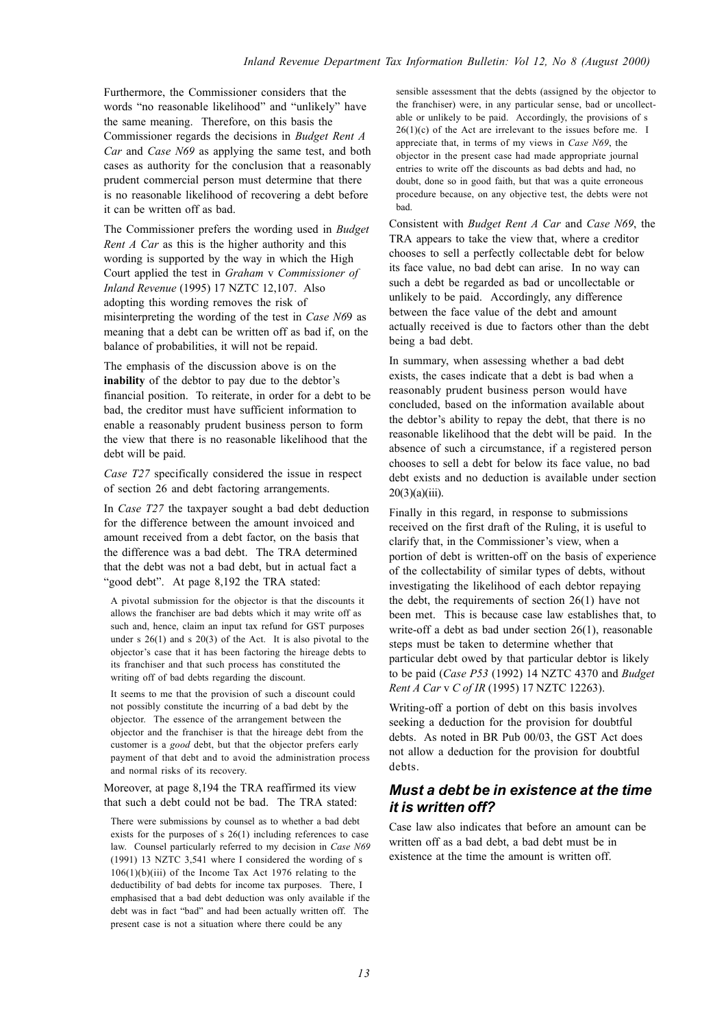Furthermore, the Commissioner considers that the words "no reasonable likelihood" and "unlikely" have the same meaning. Therefore, on this basis the Commissioner regards the decisions in *Budget Rent A Car* and *Case N69* as applying the same test, and both cases as authority for the conclusion that a reasonably prudent commercial person must determine that there is no reasonable likelihood of recovering a debt before it can be written off as bad.

The Commissioner prefers the wording used in *Budget Rent A Car* as this is the higher authority and this wording is supported by the way in which the High Court applied the test in *Graham* v *Commissioner of Inland Revenue* (1995) 17 NZTC 12,107. Also adopting this wording removes the risk of misinterpreting the wording of the test in *Case N6*9 as meaning that a debt can be written off as bad if, on the balance of probabilities, it will not be repaid.

The emphasis of the discussion above is on the **inability** of the debtor to pay due to the debtor's financial position. To reiterate, in order for a debt to be bad, the creditor must have sufficient information to enable a reasonably prudent business person to form the view that there is no reasonable likelihood that the debt will be paid.

*Case T27* specifically considered the issue in respect of section 26 and debt factoring arrangements.

In *Case T27* the taxpayer sought a bad debt deduction for the difference between the amount invoiced and amount received from a debt factor, on the basis that the difference was a bad debt. The TRA determined that the debt was not a bad debt, but in actual fact a "good debt". At page 8,192 the TRA stated:

A pivotal submission for the objector is that the discounts it allows the franchiser are bad debts which it may write off as such and, hence, claim an input tax refund for GST purposes under s  $26(1)$  and s  $20(3)$  of the Act. It is also pivotal to the objector's case that it has been factoring the hireage debts to its franchiser and that such process has constituted the writing off of bad debts regarding the discount.

It seems to me that the provision of such a discount could not possibly constitute the incurring of a bad debt by the objector. The essence of the arrangement between the objector and the franchiser is that the hireage debt from the customer is a *good* debt, but that the objector prefers early payment of that debt and to avoid the administration process and normal risks of its recovery.

Moreover, at page 8,194 the TRA reaffirmed its view that such a debt could not be bad. The TRA stated:

There were submissions by counsel as to whether a bad debt exists for the purposes of s 26(1) including references to case law. Counsel particularly referred to my decision in *Case N69* (1991) 13 NZTC 3,541 where I considered the wording of s  $106(1)(b)(iii)$  of the Income Tax Act 1976 relating to the deductibility of bad debts for income tax purposes. There, I emphasised that a bad debt deduction was only available if the debt was in fact "bad" and had been actually written off. The present case is not a situation where there could be any

sensible assessment that the debts (assigned by the objector to the franchiser) were, in any particular sense, bad or uncollectable or unlikely to be paid. Accordingly, the provisions of s  $26(1)(c)$  of the Act are irrelevant to the issues before me. I appreciate that, in terms of my views in *Case N69*, the objector in the present case had made appropriate journal entries to write off the discounts as bad debts and had, no doubt, done so in good faith, but that was a quite erroneous procedure because, on any objective test, the debts were not bad.

Consistent with *Budget Rent A Car* and *Case N69*, the TRA appears to take the view that, where a creditor chooses to sell a perfectly collectable debt for below its face value, no bad debt can arise. In no way can such a debt be regarded as bad or uncollectable or unlikely to be paid. Accordingly, any difference between the face value of the debt and amount actually received is due to factors other than the debt being a bad debt.

In summary, when assessing whether a bad debt exists, the cases indicate that a debt is bad when a reasonably prudent business person would have concluded, based on the information available about the debtor's ability to repay the debt, that there is no reasonable likelihood that the debt will be paid. In the absence of such a circumstance, if a registered person chooses to sell a debt for below its face value, no bad debt exists and no deduction is available under section  $20(3)(a)(iii)$ .

Finally in this regard, in response to submissions received on the first draft of the Ruling, it is useful to clarify that, in the Commissioner's view, when a portion of debt is written-off on the basis of experience of the collectability of similar types of debts, without investigating the likelihood of each debtor repaying the debt, the requirements of section 26(1) have not been met. This is because case law establishes that, to write-off a debt as bad under section 26(1), reasonable steps must be taken to determine whether that particular debt owed by that particular debtor is likely to be paid (*Case P53* (1992) 14 NZTC 4370 and *Budget Rent A Car* v *C of IR* (1995) 17 NZTC 12263).

Writing-off a portion of debt on this basis involves seeking a deduction for the provision for doubtful debts. As noted in BR Pub 00/03, the GST Act does not allow a deduction for the provision for doubtful debts.

### *Must a debt be in existence at the time it is written off?*

Case law also indicates that before an amount can be written off as a bad debt, a bad debt must be in existence at the time the amount is written off.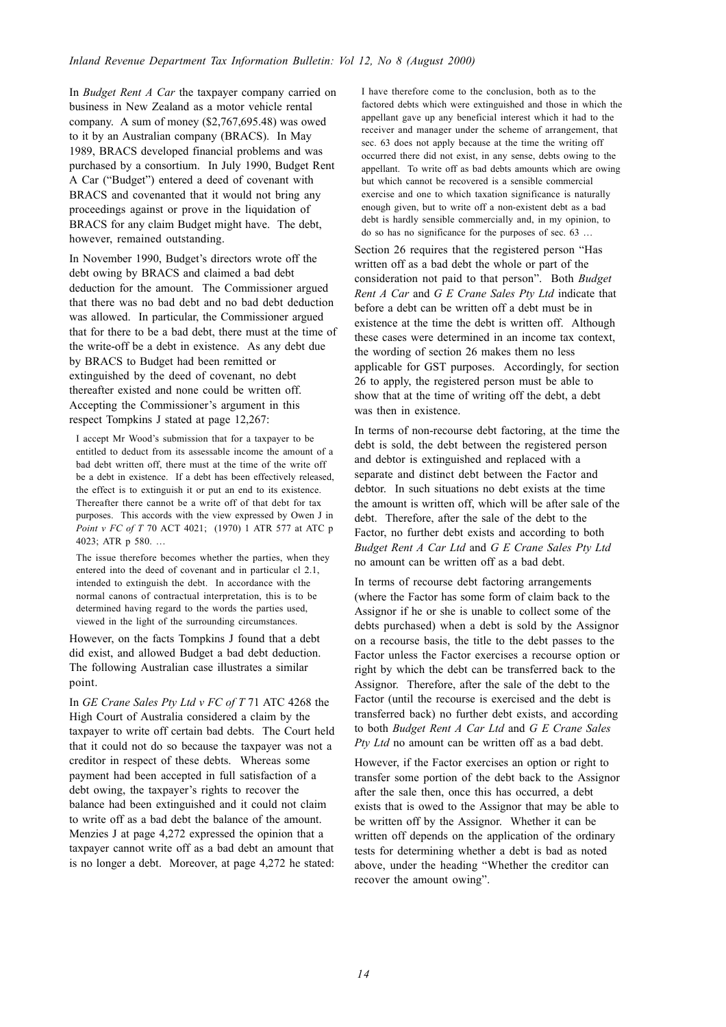In *Budget Rent A Car* the taxpayer company carried on business in New Zealand as a motor vehicle rental company. A sum of money (\$2,767,695.48) was owed to it by an Australian company (BRACS). In May 1989, BRACS developed financial problems and was purchased by a consortium. In July 1990, Budget Rent A Car ("Budget") entered a deed of covenant with BRACS and covenanted that it would not bring any proceedings against or prove in the liquidation of BRACS for any claim Budget might have. The debt, however, remained outstanding.

In November 1990, Budget's directors wrote off the debt owing by BRACS and claimed a bad debt deduction for the amount. The Commissioner argued that there was no bad debt and no bad debt deduction was allowed. In particular, the Commissioner argued that for there to be a bad debt, there must at the time of the write-off be a debt in existence. As any debt due by BRACS to Budget had been remitted or extinguished by the deed of covenant, no debt thereafter existed and none could be written off. Accepting the Commissioner's argument in this respect Tompkins J stated at page 12,267:

I accept Mr Wood's submission that for a taxpayer to be entitled to deduct from its assessable income the amount of a bad debt written off, there must at the time of the write off be a debt in existence. If a debt has been effectively released, the effect is to extinguish it or put an end to its existence. Thereafter there cannot be a write off of that debt for tax purposes. This accords with the view expressed by Owen J in *Point v FC of T* 70 ACT 4021; (1970) 1 ATR 577 at ATC p 4023; ATR p 580. …

The issue therefore becomes whether the parties, when they entered into the deed of covenant and in particular cl 2.1, intended to extinguish the debt. In accordance with the normal canons of contractual interpretation, this is to be determined having regard to the words the parties used, viewed in the light of the surrounding circumstances.

However, on the facts Tompkins J found that a debt did exist, and allowed Budget a bad debt deduction. The following Australian case illustrates a similar point.

In *GE Crane Sales Pty Ltd v FC of T* 71 ATC 4268 the High Court of Australia considered a claim by the taxpayer to write off certain bad debts. The Court held that it could not do so because the taxpayer was not a creditor in respect of these debts. Whereas some payment had been accepted in full satisfaction of a debt owing, the taxpayer's rights to recover the balance had been extinguished and it could not claim to write off as a bad debt the balance of the amount. Menzies J at page 4,272 expressed the opinion that a taxpayer cannot write off as a bad debt an amount that is no longer a debt. Moreover, at page 4,272 he stated: I have therefore come to the conclusion, both as to the factored debts which were extinguished and those in which the appellant gave up any beneficial interest which it had to the receiver and manager under the scheme of arrangement, that sec. 63 does not apply because at the time the writing off occurred there did not exist, in any sense, debts owing to the appellant. To write off as bad debts amounts which are owing but which cannot be recovered is a sensible commercial exercise and one to which taxation significance is naturally enough given, but to write off a non-existent debt as a bad debt is hardly sensible commercially and, in my opinion, to do so has no significance for the purposes of sec. 63 …

Section 26 requires that the registered person "Has written off as a bad debt the whole or part of the consideration not paid to that person". Both *Budget Rent A Car* and *G E Crane Sales Pty Ltd* indicate that before a debt can be written off a debt must be in existence at the time the debt is written off. Although these cases were determined in an income tax context, the wording of section 26 makes them no less applicable for GST purposes. Accordingly, for section 26 to apply, the registered person must be able to show that at the time of writing off the debt, a debt was then in existence.

In terms of non-recourse debt factoring, at the time the debt is sold, the debt between the registered person and debtor is extinguished and replaced with a separate and distinct debt between the Factor and debtor. In such situations no debt exists at the time the amount is written off, which will be after sale of the debt. Therefore, after the sale of the debt to the Factor, no further debt exists and according to both *Budget Rent A Car Ltd* and *G E Crane Sales Pty Ltd* no amount can be written off as a bad debt.

In terms of recourse debt factoring arrangements (where the Factor has some form of claim back to the Assignor if he or she is unable to collect some of the debts purchased) when a debt is sold by the Assignor on a recourse basis, the title to the debt passes to the Factor unless the Factor exercises a recourse option or right by which the debt can be transferred back to the Assignor. Therefore, after the sale of the debt to the Factor (until the recourse is exercised and the debt is transferred back) no further debt exists, and according to both *Budget Rent A Car Ltd* and *G E Crane Sales Pty Ltd* no amount can be written off as a bad debt.

However, if the Factor exercises an option or right to transfer some portion of the debt back to the Assignor after the sale then, once this has occurred, a debt exists that is owed to the Assignor that may be able to be written off by the Assignor. Whether it can be written off depends on the application of the ordinary tests for determining whether a debt is bad as noted above, under the heading "Whether the creditor can recover the amount owing".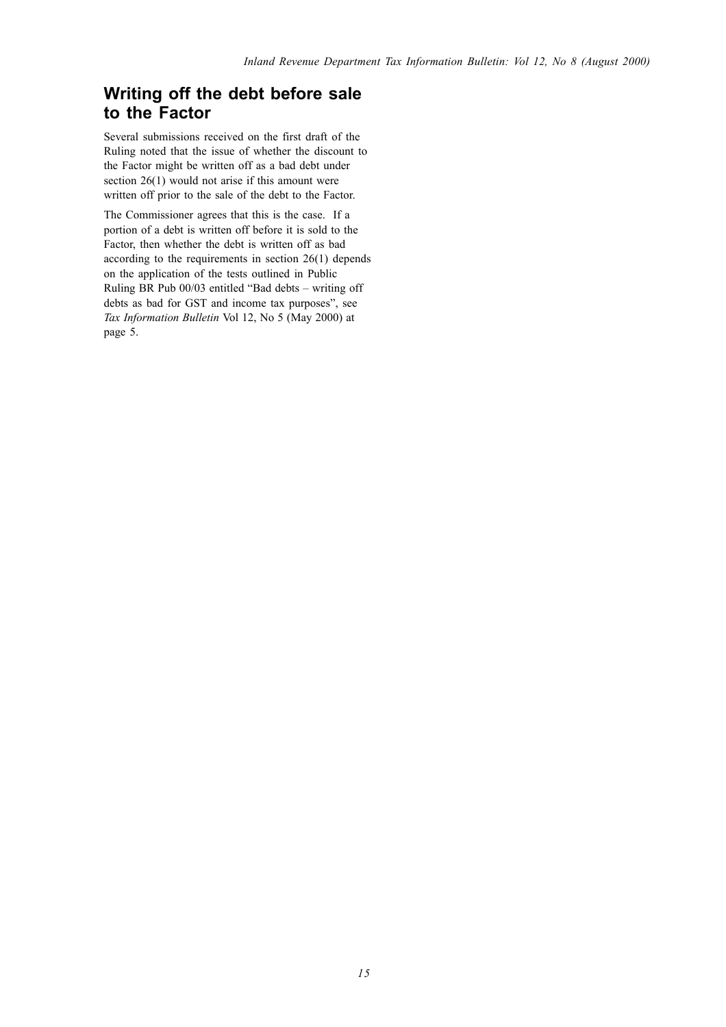# **Writing off the debt before sale to the Factor**

Several submissions received on the first draft of the Ruling noted that the issue of whether the discount to the Factor might be written off as a bad debt under section 26(1) would not arise if this amount were written off prior to the sale of the debt to the Factor.

The Commissioner agrees that this is the case. If a portion of a debt is written off before it is sold to the Factor, then whether the debt is written off as bad according to the requirements in section 26(1) depends on the application of the tests outlined in Public Ruling BR Pub 00/03 entitled "Bad debts – writing off debts as bad for GST and income tax purposes", see *Tax Information Bulletin* Vol 12, No 5 (May 2000) at page 5.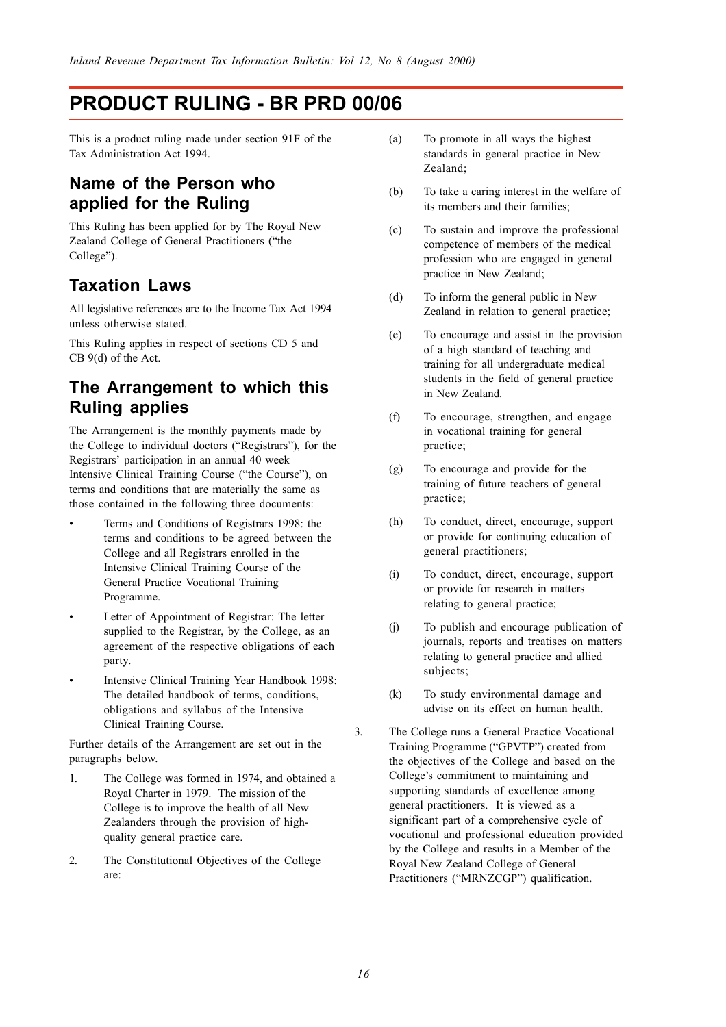# **PRODUCT RULING - BR PRD 00/06**

This is a product ruling made under section 91F of the Tax Administration Act 1994.

# **Name of the Person who applied for the Ruling**

This Ruling has been applied for by The Royal New Zealand College of General Practitioners ("the College").

# **Taxation Laws**

All legislative references are to the Income Tax Act 1994 unless otherwise stated.

This Ruling applies in respect of sections CD 5 and CB 9(d) of the Act.

# **The Arrangement to which this Ruling applies**

The Arrangement is the monthly payments made by the College to individual doctors ("Registrars"), for the Registrars' participation in an annual 40 week Intensive Clinical Training Course ("the Course"), on terms and conditions that are materially the same as those contained in the following three documents:

- Terms and Conditions of Registrars 1998: the terms and conditions to be agreed between the College and all Registrars enrolled in the Intensive Clinical Training Course of the General Practice Vocational Training Programme.
- Letter of Appointment of Registrar: The letter supplied to the Registrar, by the College, as an agreement of the respective obligations of each party.
- Intensive Clinical Training Year Handbook 1998: The detailed handbook of terms, conditions, obligations and syllabus of the Intensive Clinical Training Course.

Further details of the Arrangement are set out in the paragraphs below.

- 1. The College was formed in 1974, and obtained a Royal Charter in 1979. The mission of the College is to improve the health of all New Zealanders through the provision of highquality general practice care.
- 2. The Constitutional Objectives of the College are:
- (a) To promote in all ways the highest standards in general practice in New Zealand;
- (b) To take a caring interest in the welfare of its members and their families;
- (c) To sustain and improve the professional competence of members of the medical profession who are engaged in general practice in New Zealand;
- (d) To inform the general public in New Zealand in relation to general practice;
- (e) To encourage and assist in the provision of a high standard of teaching and training for all undergraduate medical students in the field of general practice in New Zealand.
- (f) To encourage, strengthen, and engage in vocational training for general practice;
- (g) To encourage and provide for the training of future teachers of general practice;
- (h) To conduct, direct, encourage, support or provide for continuing education of general practitioners;
- (i) To conduct, direct, encourage, support or provide for research in matters relating to general practice;
- (j) To publish and encourage publication of journals, reports and treatises on matters relating to general practice and allied subjects;
- (k) To study environmental damage and advise on its effect on human health.

3. The College runs a General Practice Vocational Training Programme ("GPVTP") created from the objectives of the College and based on the College's commitment to maintaining and supporting standards of excellence among general practitioners. It is viewed as a significant part of a comprehensive cycle of vocational and professional education provided by the College and results in a Member of the Royal New Zealand College of General Practitioners ("MRNZCGP") qualification.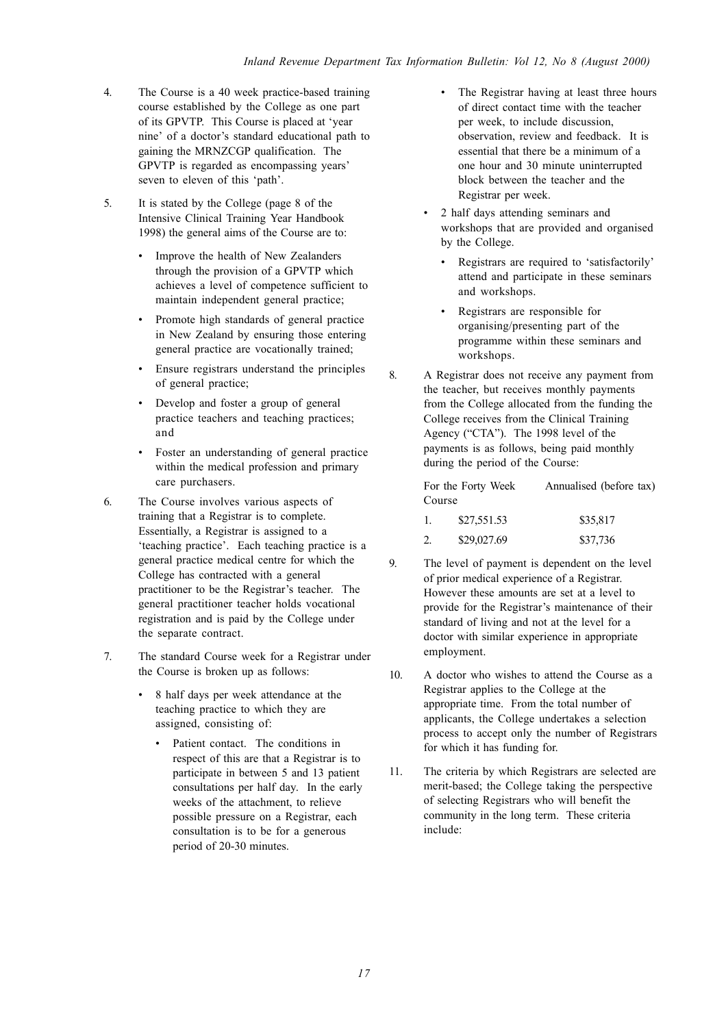- 4. The Course is a 40 week practice-based training course established by the College as one part of its GPVTP. This Course is placed at 'year nine' of a doctor's standard educational path to gaining the MRNZCGP qualification. The GPVTP is regarded as encompassing years' seven to eleven of this 'path'.
- 5. It is stated by the College (page 8 of the Intensive Clinical Training Year Handbook 1998) the general aims of the Course are to:
	- Improve the health of New Zealanders through the provision of a GPVTP which achieves a level of competence sufficient to maintain independent general practice;
	- Promote high standards of general practice in New Zealand by ensuring those entering general practice are vocationally trained;
	- Ensure registrars understand the principles of general practice;
	- Develop and foster a group of general practice teachers and teaching practices; and
	- Foster an understanding of general practice within the medical profession and primary care purchasers.
- 6. The Course involves various aspects of training that a Registrar is to complete. Essentially, a Registrar is assigned to a 'teaching practice'. Each teaching practice is a general practice medical centre for which the College has contracted with a general practitioner to be the Registrar's teacher. The general practitioner teacher holds vocational registration and is paid by the College under the separate contract.
- 7. The standard Course week for a Registrar under the Course is broken up as follows:
	- 8 half days per week attendance at the teaching practice to which they are assigned, consisting of:
		- Patient contact. The conditions in respect of this are that a Registrar is to participate in between 5 and 13 patient consultations per half day. In the early weeks of the attachment, to relieve possible pressure on a Registrar, each consultation is to be for a generous period of 20-30 minutes.
- The Registrar having at least three hours of direct contact time with the teacher per week, to include discussion, observation, review and feedback. It is essential that there be a minimum of a one hour and 30 minute uninterrupted block between the teacher and the Registrar per week.
- 2 half days attending seminars and workshops that are provided and organised by the College.
	- Registrars are required to 'satisfactorily' attend and participate in these seminars and workshops.
	- Registrars are responsible for organising/presenting part of the programme within these seminars and workshops.
- 8. A Registrar does not receive any payment from the teacher, but receives monthly payments from the College allocated from the funding the College receives from the Clinical Training Agency ("CTA"). The 1998 level of the payments is as follows, being paid monthly during the period of the Course:

|        | For the Forty Week | Annualised (before tax) |
|--------|--------------------|-------------------------|
| Course |                    |                         |
|        | \$27.551.53        | \$35,817                |

| \$29,027.69 | \$37,736 |
|-------------|----------|

- 9. The level of payment is dependent on the level of prior medical experience of a Registrar. However these amounts are set at a level to provide for the Registrar's maintenance of their standard of living and not at the level for a doctor with similar experience in appropriate employment.
- 10. A doctor who wishes to attend the Course as a Registrar applies to the College at the appropriate time. From the total number of applicants, the College undertakes a selection process to accept only the number of Registrars for which it has funding for.
- 11. The criteria by which Registrars are selected are merit-based; the College taking the perspective of selecting Registrars who will benefit the community in the long term. These criteria include: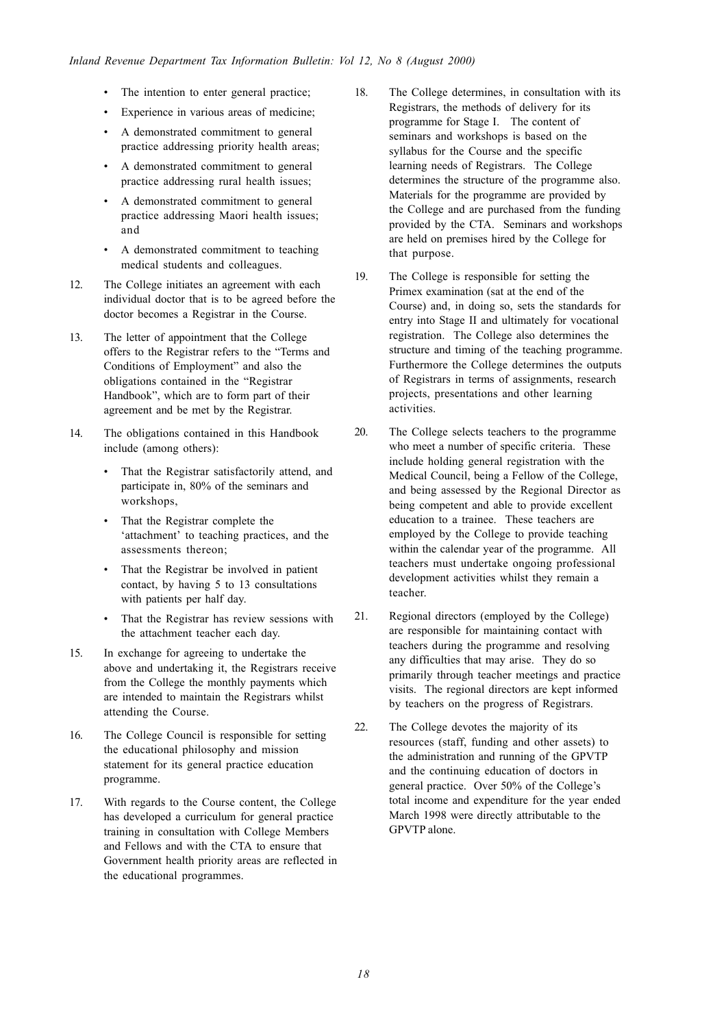- The intention to enter general practice;
- Experience in various areas of medicine;
- A demonstrated commitment to general practice addressing priority health areas;
- A demonstrated commitment to general practice addressing rural health issues;
- A demonstrated commitment to general practice addressing Maori health issues; and
- A demonstrated commitment to teaching medical students and colleagues.
- 12. The College initiates an agreement with each individual doctor that is to be agreed before the doctor becomes a Registrar in the Course.
- 13. The letter of appointment that the College offers to the Registrar refers to the "Terms and Conditions of Employment" and also the obligations contained in the "Registrar Handbook", which are to form part of their agreement and be met by the Registrar.
- 14. The obligations contained in this Handbook include (among others):
	- That the Registrar satisfactorily attend, and participate in, 80% of the seminars and workshops,
	- That the Registrar complete the 'attachment' to teaching practices, and the assessments thereon;
	- That the Registrar be involved in patient contact, by having 5 to 13 consultations with patients per half day.
	- That the Registrar has review sessions with the attachment teacher each day.
- 15. In exchange for agreeing to undertake the above and undertaking it, the Registrars receive from the College the monthly payments which are intended to maintain the Registrars whilst attending the Course.
- 16. The College Council is responsible for setting the educational philosophy and mission statement for its general practice education programme.
- 17. With regards to the Course content, the College has developed a curriculum for general practice training in consultation with College Members and Fellows and with the CTA to ensure that Government health priority areas are reflected in the educational programmes.
- 18. The College determines, in consultation with its Registrars, the methods of delivery for its programme for Stage I. The content of seminars and workshops is based on the syllabus for the Course and the specific learning needs of Registrars. The College determines the structure of the programme also. Materials for the programme are provided by the College and are purchased from the funding provided by the CTA. Seminars and workshops are held on premises hired by the College for that purpose.
- 19. The College is responsible for setting the Primex examination (sat at the end of the Course) and, in doing so, sets the standards for entry into Stage II and ultimately for vocational registration. The College also determines the structure and timing of the teaching programme. Furthermore the College determines the outputs of Registrars in terms of assignments, research projects, presentations and other learning activities.
- 20. The College selects teachers to the programme who meet a number of specific criteria. These include holding general registration with the Medical Council, being a Fellow of the College, and being assessed by the Regional Director as being competent and able to provide excellent education to a trainee. These teachers are employed by the College to provide teaching within the calendar year of the programme. All teachers must undertake ongoing professional development activities whilst they remain a teacher.
- 21. Regional directors (employed by the College) are responsible for maintaining contact with teachers during the programme and resolving any difficulties that may arise. They do so primarily through teacher meetings and practice visits. The regional directors are kept informed by teachers on the progress of Registrars.
- 22. The College devotes the majority of its resources (staff, funding and other assets) to the administration and running of the GPVTP and the continuing education of doctors in general practice. Over 50% of the College's total income and expenditure for the year ended March 1998 were directly attributable to the GPVTP alone.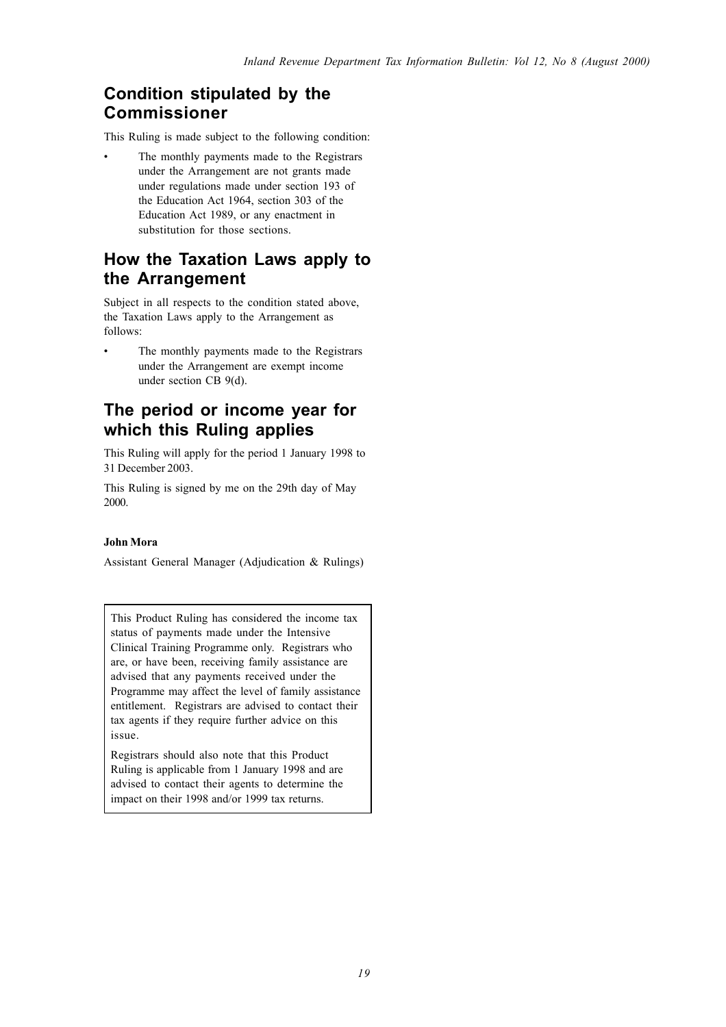# **Condition stipulated by the Commissioner**

This Ruling is made subject to the following condition:

The monthly payments made to the Registrars under the Arrangement are not grants made under regulations made under section 193 of the Education Act 1964, section 303 of the Education Act 1989, or any enactment in substitution for those sections.

# **How the Taxation Laws apply to the Arrangement**

Subject in all respects to the condition stated above, the Taxation Laws apply to the Arrangement as follows:

The monthly payments made to the Registrars under the Arrangement are exempt income under section CB 9(d).

# **The period or income year for which this Ruling applies**

This Ruling will apply for the period 1 January 1998 to 31 December 2003.

This Ruling is signed by me on the 29th day of May 2000.

### **John Mora**

Assistant General Manager (Adjudication & Rulings)

This Product Ruling has considered the income tax status of payments made under the Intensive Clinical Training Programme only. Registrars who are, or have been, receiving family assistance are advised that any payments received under the Programme may affect the level of family assistance entitlement. Registrars are advised to contact their tax agents if they require further advice on this issue.

Registrars should also note that this Product Ruling is applicable from 1 January 1998 and are advised to contact their agents to determine the impact on their 1998 and/or 1999 tax returns.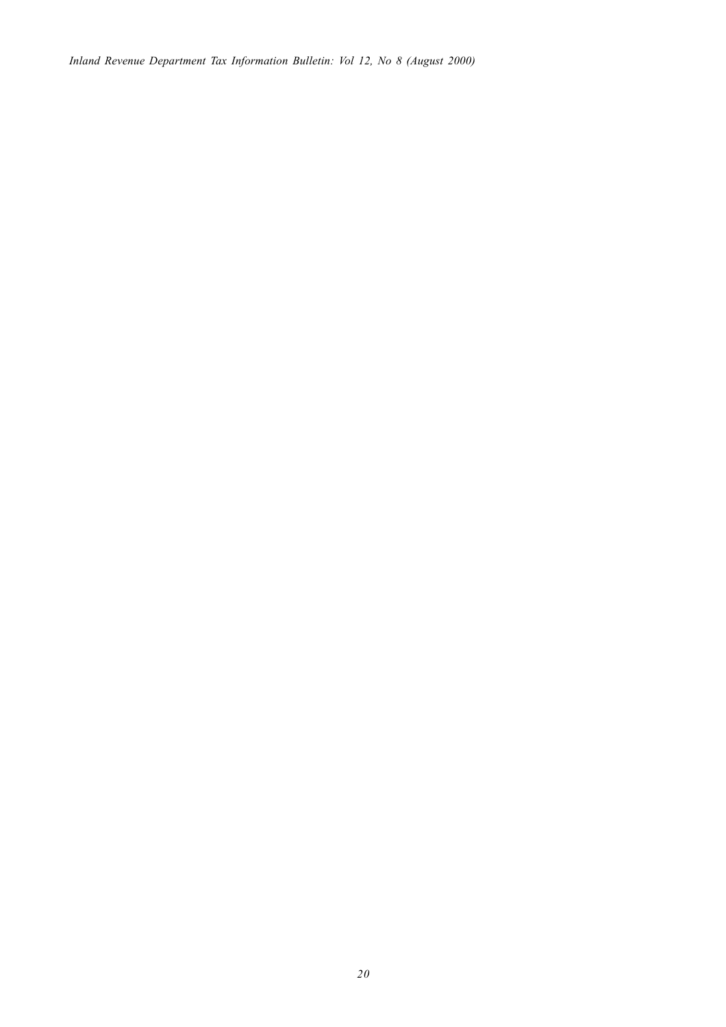*Inland Revenue Department Tax Information Bulletin: Vol 12, No 8 (August 2000)*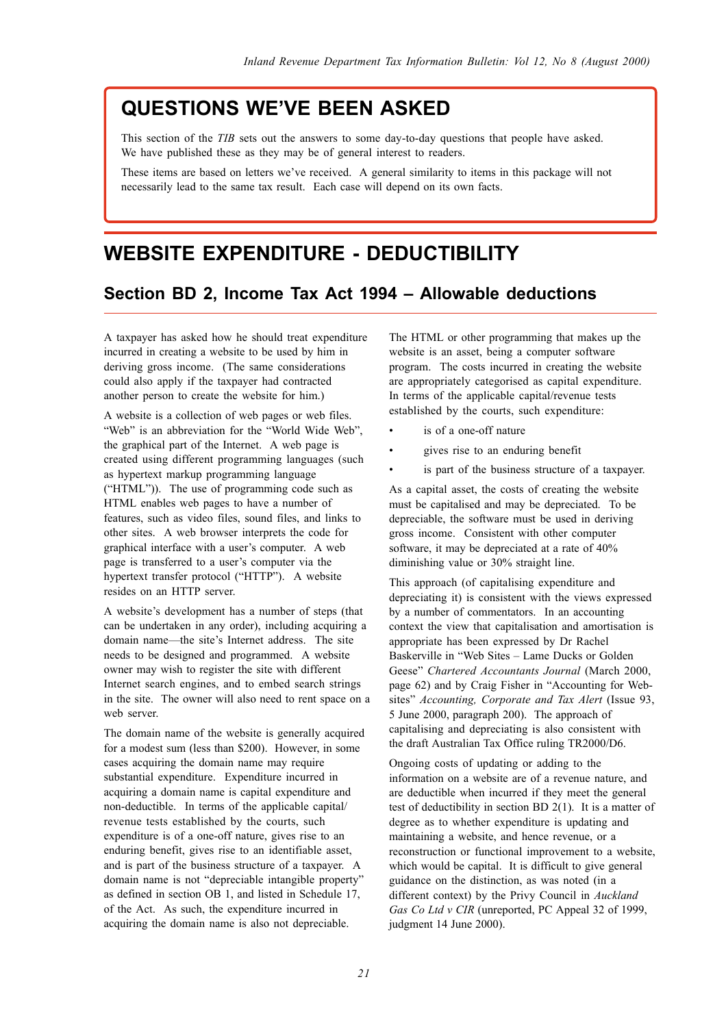# **QUESTIONS WE'VE BEEN ASKED**

This section of the *TIB* sets out the answers to some day-to-day questions that people have asked. We have published these as they may be of general interest to readers.

These items are based on letters we've received. A general similarity to items in this package will not necessarily lead to the same tax result. Each case will depend on its own facts.

# **WEBSITE EXPENDITURE - DEDUCTIBILITY**

### **Section BD 2, Income Tax Act 1994 – Allowable deductions**

A taxpayer has asked how he should treat expenditure incurred in creating a website to be used by him in deriving gross income. (The same considerations could also apply if the taxpayer had contracted another person to create the website for him.)

A website is a collection of web pages or web files. "Web" is an abbreviation for the "World Wide Web", the graphical part of the Internet. A web page is created using different programming languages (such as hypertext markup programming language ("HTML")). The use of programming code such as HTML enables web pages to have a number of features, such as video files, sound files, and links to other sites. A web browser interprets the code for graphical interface with a user's computer. A web page is transferred to a user's computer via the hypertext transfer protocol ("HTTP"). A website resides on an HTTP server.

A website's development has a number of steps (that can be undertaken in any order), including acquiring a domain name—the site's Internet address. The site needs to be designed and programmed. A website owner may wish to register the site with different Internet search engines, and to embed search strings in the site. The owner will also need to rent space on a web server.

The domain name of the website is generally acquired for a modest sum (less than \$200). However, in some cases acquiring the domain name may require substantial expenditure. Expenditure incurred in acquiring a domain name is capital expenditure and non-deductible. In terms of the applicable capital/ revenue tests established by the courts, such expenditure is of a one-off nature, gives rise to an enduring benefit, gives rise to an identifiable asset, and is part of the business structure of a taxpayer. A domain name is not "depreciable intangible property" as defined in section OB 1, and listed in Schedule 17, of the Act. As such, the expenditure incurred in acquiring the domain name is also not depreciable.

The HTML or other programming that makes up the website is an asset, being a computer software program. The costs incurred in creating the website are appropriately categorised as capital expenditure. In terms of the applicable capital/revenue tests established by the courts, such expenditure:

- is of a one-off nature
- gives rise to an enduring benefit
- is part of the business structure of a taxpayer.

As a capital asset, the costs of creating the website must be capitalised and may be depreciated. To be depreciable, the software must be used in deriving gross income. Consistent with other computer software, it may be depreciated at a rate of 40% diminishing value or 30% straight line.

This approach (of capitalising expenditure and depreciating it) is consistent with the views expressed by a number of commentators. In an accounting context the view that capitalisation and amortisation is appropriate has been expressed by Dr Rachel Baskerville in "Web Sites – Lame Ducks or Golden Geese" *Chartered Accountants Journal* (March 2000, page 62) and by Craig Fisher in "Accounting for Websites" *Accounting, Corporate and Tax Alert* (Issue 93, 5 June 2000, paragraph 200). The approach of capitalising and depreciating is also consistent with the draft Australian Tax Office ruling TR2000/D6.

Ongoing costs of updating or adding to the information on a website are of a revenue nature, and are deductible when incurred if they meet the general test of deductibility in section BD 2(1). It is a matter of degree as to whether expenditure is updating and maintaining a website, and hence revenue, or a reconstruction or functional improvement to a website, which would be capital. It is difficult to give general guidance on the distinction, as was noted (in a different context) by the Privy Council in *Auckland Gas Co Ltd v CIR* (unreported, PC Appeal 32 of 1999, judgment 14 June 2000).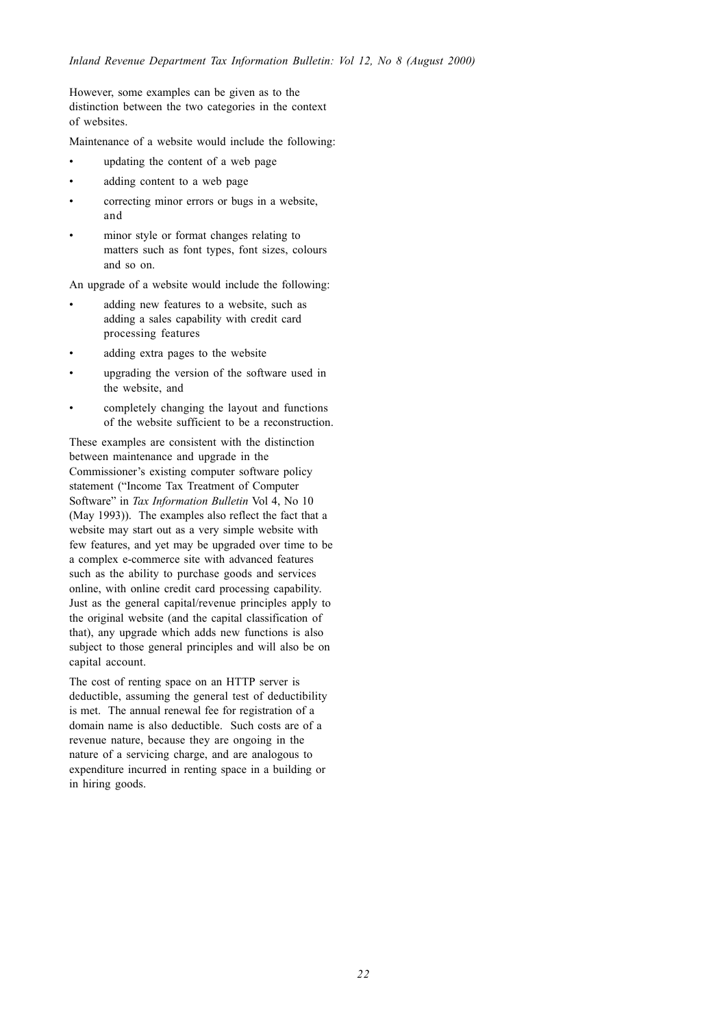However, some examples can be given as to the distinction between the two categories in the context of websites.

Maintenance of a website would include the following:

- updating the content of a web page
- adding content to a web page
- correcting minor errors or bugs in a website, and
- minor style or format changes relating to matters such as font types, font sizes, colours and so on.

An upgrade of a website would include the following:

- adding new features to a website, such as adding a sales capability with credit card processing features
- adding extra pages to the website
- upgrading the version of the software used in the website, and
- completely changing the layout and functions of the website sufficient to be a reconstruction.

These examples are consistent with the distinction between maintenance and upgrade in the Commissioner's existing computer software policy statement ("Income Tax Treatment of Computer Software" in *Tax Information Bulletin* Vol 4, No 10 (May 1993)). The examples also reflect the fact that a website may start out as a very simple website with few features, and yet may be upgraded over time to be a complex e-commerce site with advanced features such as the ability to purchase goods and services online, with online credit card processing capability. Just as the general capital/revenue principles apply to the original website (and the capital classification of that), any upgrade which adds new functions is also subject to those general principles and will also be on capital account.

The cost of renting space on an HTTP server is deductible, assuming the general test of deductibility is met. The annual renewal fee for registration of a domain name is also deductible. Such costs are of a revenue nature, because they are ongoing in the nature of a servicing charge, and are analogous to expenditure incurred in renting space in a building or in hiring goods.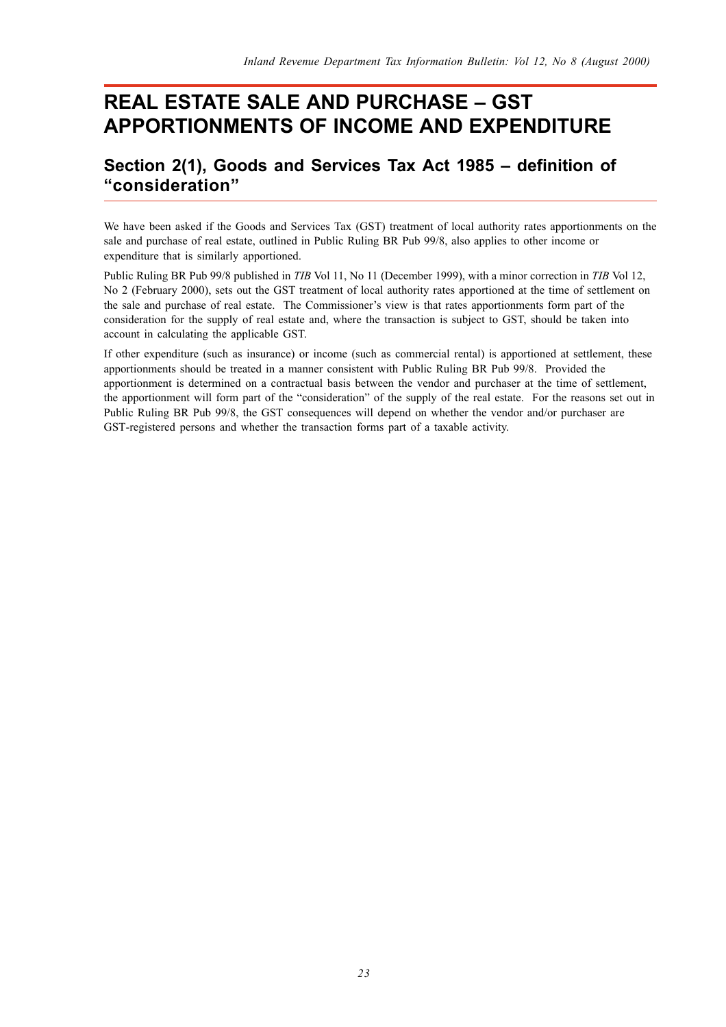# **REAL ESTATE SALE AND PURCHASE – GST APPORTIONMENTS OF INCOME AND EXPENDITURE**

# **Section 2(1), Goods and Services Tax Act 1985 – definition of "consideration"**

We have been asked if the Goods and Services Tax (GST) treatment of local authority rates apportionments on the sale and purchase of real estate, outlined in Public Ruling BR Pub 99/8, also applies to other income or expenditure that is similarly apportioned.

Public Ruling BR Pub 99/8 published in *TIB* Vol 11, No 11 (December 1999), with a minor correction in *TIB* Vol 12, No 2 (February 2000), sets out the GST treatment of local authority rates apportioned at the time of settlement on the sale and purchase of real estate. The Commissioner's view is that rates apportionments form part of the consideration for the supply of real estate and, where the transaction is subject to GST, should be taken into account in calculating the applicable GST.

If other expenditure (such as insurance) or income (such as commercial rental) is apportioned at settlement, these apportionments should be treated in a manner consistent with Public Ruling BR Pub 99/8. Provided the apportionment is determined on a contractual basis between the vendor and purchaser at the time of settlement, the apportionment will form part of the "consideration" of the supply of the real estate. For the reasons set out in Public Ruling BR Pub 99/8, the GST consequences will depend on whether the vendor and/or purchaser are GST-registered persons and whether the transaction forms part of a taxable activity.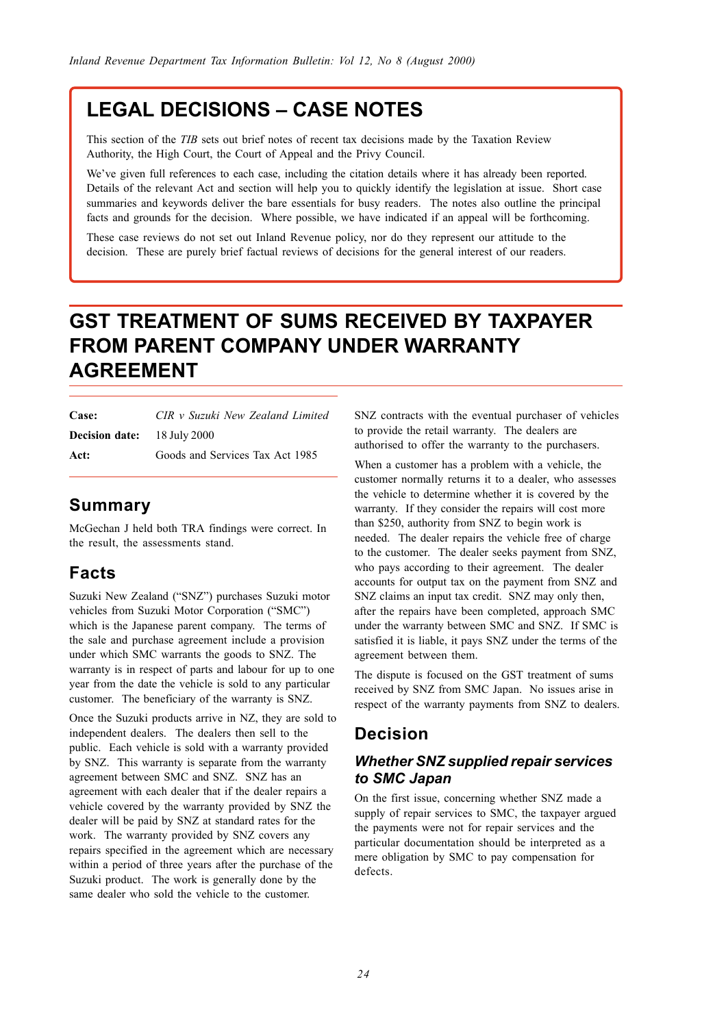# **LEGAL DECISIONS – CASE NOTES**

This section of the *TIB* sets out brief notes of recent tax decisions made by the Taxation Review Authority, the High Court, the Court of Appeal and the Privy Council.

We've given full references to each case, including the citation details where it has already been reported. Details of the relevant Act and section will help you to quickly identify the legislation at issue. Short case summaries and keywords deliver the bare essentials for busy readers. The notes also outline the principal facts and grounds for the decision. Where possible, we have indicated if an appeal will be forthcoming.

These case reviews do not set out Inland Revenue policy, nor do they represent our attitude to the decision. These are purely brief factual reviews of decisions for the general interest of our readers.

# **GST TREATMENT OF SUMS RECEIVED BY TAXPAYER FROM PARENT COMPANY UNDER WARRANTY AGREEMENT**

| Case:                              | CIR v Suzuki New Zealand Limited |
|------------------------------------|----------------------------------|
| <b>Decision date:</b> 18 July 2000 |                                  |
| Act:                               | Goods and Services Tax Act 1985  |

# **Summary**

McGechan J held both TRA findings were correct. In the result, the assessments stand.

# **Facts**

Suzuki New Zealand ("SNZ") purchases Suzuki motor vehicles from Suzuki Motor Corporation ("SMC") which is the Japanese parent company. The terms of the sale and purchase agreement include a provision under which SMC warrants the goods to SNZ. The warranty is in respect of parts and labour for up to one year from the date the vehicle is sold to any particular customer. The beneficiary of the warranty is SNZ.

Once the Suzuki products arrive in NZ, they are sold to independent dealers. The dealers then sell to the public. Each vehicle is sold with a warranty provided by SNZ. This warranty is separate from the warranty agreement between SMC and SNZ. SNZ has an agreement with each dealer that if the dealer repairs a vehicle covered by the warranty provided by SNZ the dealer will be paid by SNZ at standard rates for the work. The warranty provided by SNZ covers any repairs specified in the agreement which are necessary within a period of three years after the purchase of the Suzuki product. The work is generally done by the same dealer who sold the vehicle to the customer.

SNZ contracts with the eventual purchaser of vehicles to provide the retail warranty. The dealers are authorised to offer the warranty to the purchasers.

When a customer has a problem with a vehicle, the customer normally returns it to a dealer, who assesses the vehicle to determine whether it is covered by the warranty. If they consider the repairs will cost more than \$250, authority from SNZ to begin work is needed. The dealer repairs the vehicle free of charge to the customer. The dealer seeks payment from SNZ, who pays according to their agreement. The dealer accounts for output tax on the payment from SNZ and SNZ claims an input tax credit. SNZ may only then, after the repairs have been completed, approach SMC under the warranty between SMC and SNZ. If SMC is satisfied it is liable, it pays SNZ under the terms of the agreement between them.

The dispute is focused on the GST treatment of sums received by SNZ from SMC Japan. No issues arise in respect of the warranty payments from SNZ to dealers.

# **Decision**

### *Whether SNZ supplied repair services to SMC Japan*

On the first issue, concerning whether SNZ made a supply of repair services to SMC, the taxpayer argued the payments were not for repair services and the particular documentation should be interpreted as a mere obligation by SMC to pay compensation for defects.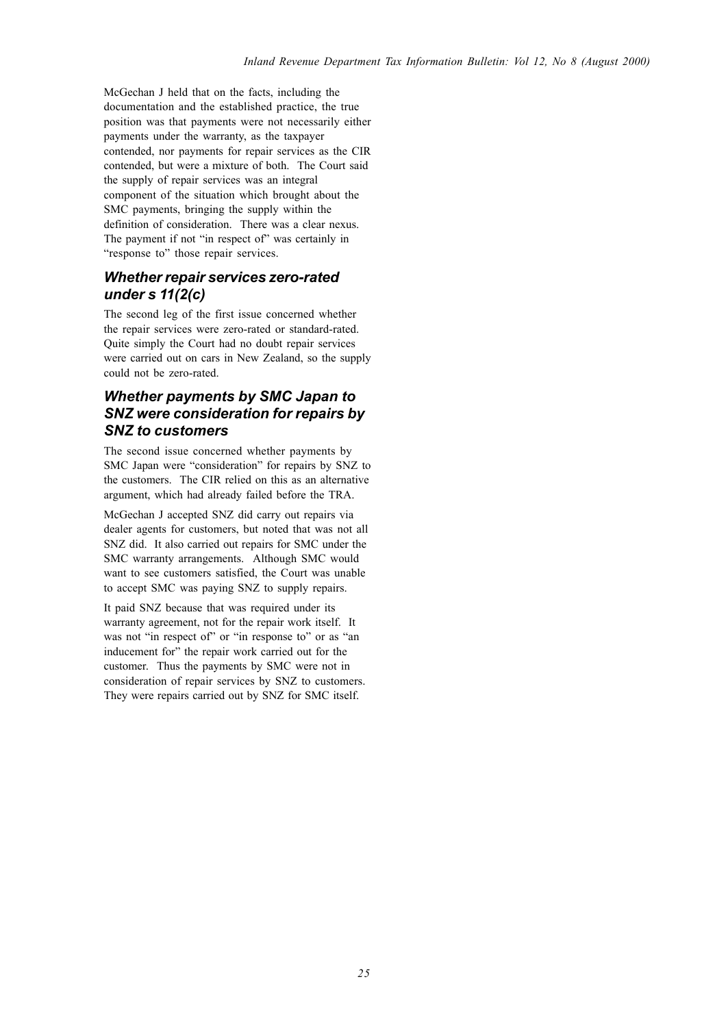McGechan J held that on the facts, including the documentation and the established practice, the true position was that payments were not necessarily either payments under the warranty, as the taxpayer contended, nor payments for repair services as the CIR contended, but were a mixture of both. The Court said the supply of repair services was an integral component of the situation which brought about the SMC payments, bringing the supply within the definition of consideration. There was a clear nexus. The payment if not "in respect of" was certainly in "response to" those repair services.

### *Whether repair services zero-rated under s 11(2(c)*

The second leg of the first issue concerned whether the repair services were zero-rated or standard-rated. Quite simply the Court had no doubt repair services were carried out on cars in New Zealand, so the supply could not be zero-rated.

### *Whether payments by SMC Japan to SNZ were consideration for repairs by SNZ to customers*

The second issue concerned whether payments by SMC Japan were "consideration" for repairs by SNZ to the customers. The CIR relied on this as an alternative argument, which had already failed before the TRA.

McGechan J accepted SNZ did carry out repairs via dealer agents for customers, but noted that was not all SNZ did. It also carried out repairs for SMC under the SMC warranty arrangements. Although SMC would want to see customers satisfied, the Court was unable to accept SMC was paying SNZ to supply repairs.

It paid SNZ because that was required under its warranty agreement, not for the repair work itself. It was not "in respect of" or "in response to" or as "an inducement for" the repair work carried out for the customer. Thus the payments by SMC were not in consideration of repair services by SNZ to customers. They were repairs carried out by SNZ for SMC itself.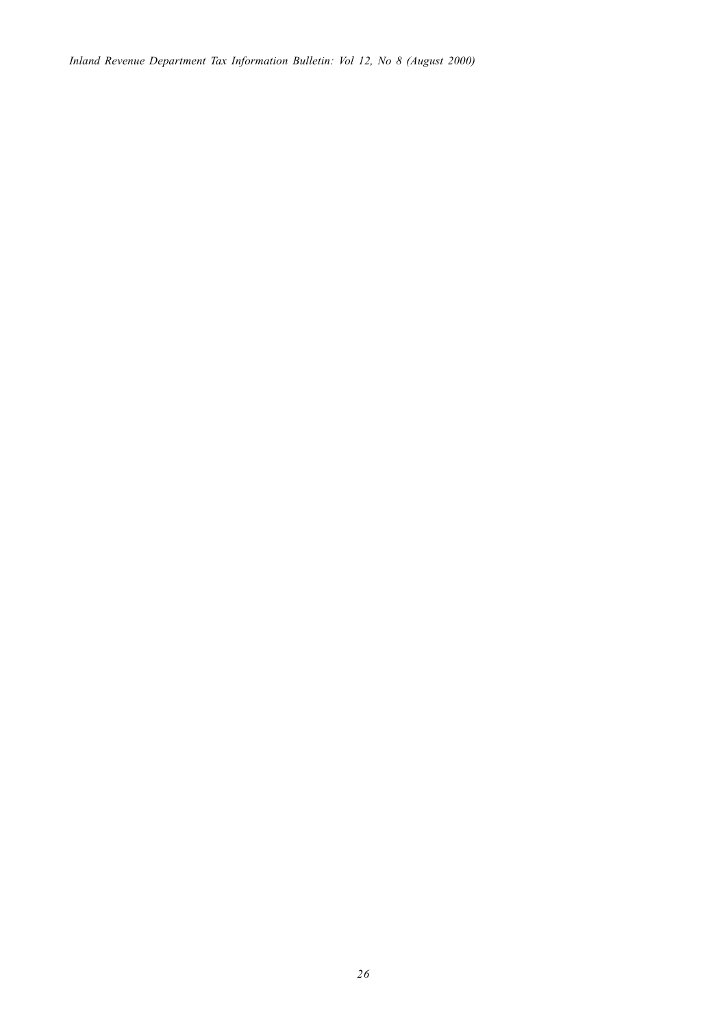*Inland Revenue Department Tax Information Bulletin: Vol 12, No 8 (August 2000)*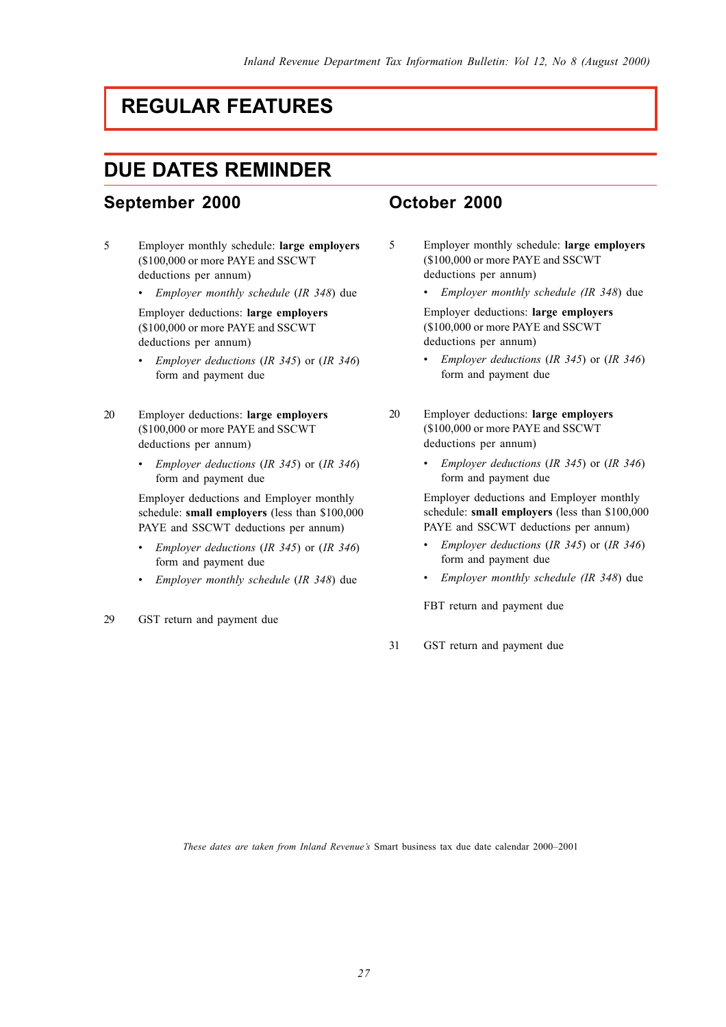# **REGULAR FEATURES**

# **DUE DATES REMINDER**

### **September 2000**

- 5 Employer monthly schedule: **large employers** (\$100,000 or more PAYE and SSCWT deductions per annum)
	- *Employer monthly schedule* (*IR 348*) due

Employer deductions: **large employers** (\$100,000 or more PAYE and SSCWT deductions per annum)

- *Employer deductions* (*IR 345*) or (*IR 346*) form and payment due
- 20 Employer deductions: **large employers** (\$100,000 or more PAYE and SSCWT deductions per annum)
	- *Employer deductions* (*IR 345*) or (*IR 346*) form and payment due

Employer deductions and Employer monthly schedule: **small employers** (less than \$100,000 PAYE and SSCWT deductions per annum)

- *Employer deductions* (*IR 345*) or (*IR 346*) form and payment due
- *Employer monthly schedule* (*IR 348*) due
- 29 GST return and payment due

# **October 2000**

- 5 Employer monthly schedule: **large employers** (\$100,000 or more PAYE and SSCWT deductions per annum)
	- *Employer monthly schedule (IR 348*) due

Employer deductions: **large employers** (\$100,000 or more PAYE and SSCWT deductions per annum)

- *Employer deductions* (*IR 345*) or (*IR 346*) form and payment due
- 20 Employer deductions: **large employers** (\$100,000 or more PAYE and SSCWT deductions per annum)
	- *Employer deductions* (*IR 345*) or (*IR 346*) form and payment due

Employer deductions and Employer monthly schedule: **small employers** (less than \$100,000 PAYE and SSCWT deductions per annum)

- *Employer deductions* (*IR 345*) or (*IR 346*) form and payment due
- *Employer monthly schedule (IR 348*) due

FBT return and payment due

31 GST return and payment due

*These dates are taken from Inland Revenue's* Smart business tax due date calendar 2000–2001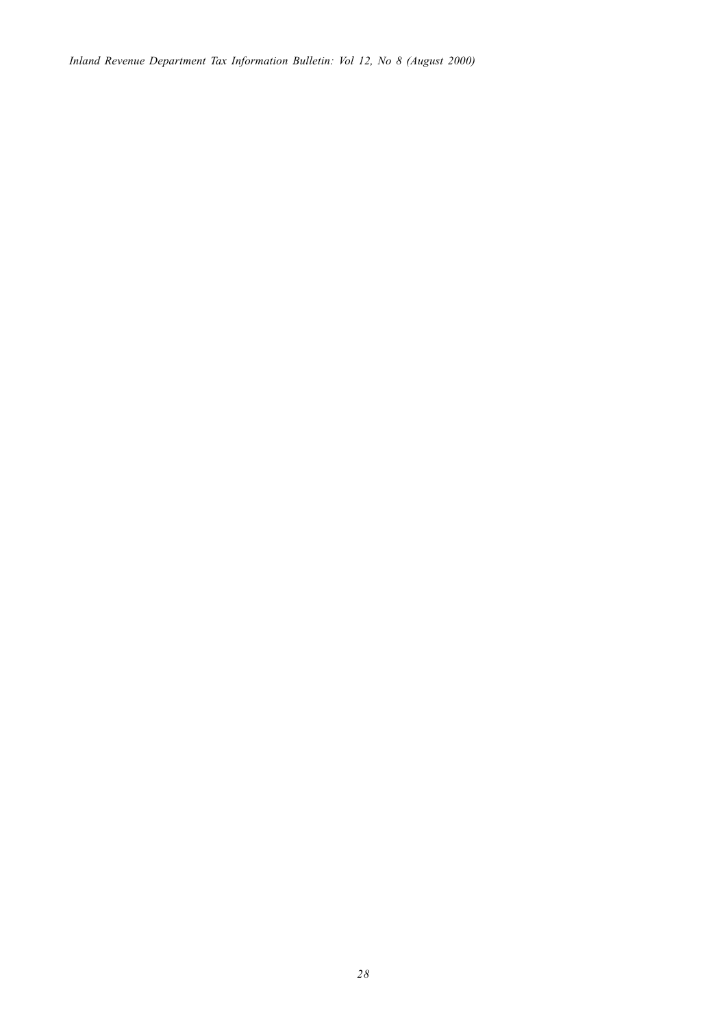*Inland Revenue Department Tax Information Bulletin: Vol 12, No 8 (August 2000)*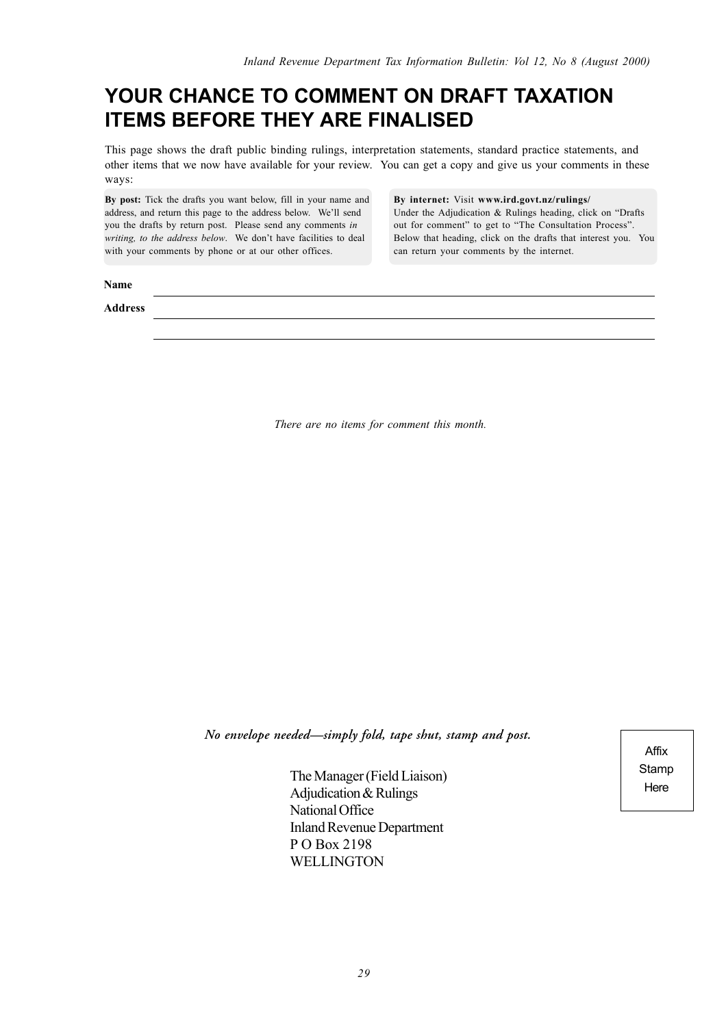# **YOUR CHANCE TO COMMENT ON DRAFT TAXATION ITEMS BEFORE THEY ARE FINALISED**

This page shows the draft public binding rulings, interpretation statements, standard practice statements, and other items that we now have available for your review. You can get a copy and give us your comments in these ways:

**By post:** Tick the drafts you want below, fill in your name and address, and return this page to the address below. We'll send you the drafts by return post. Please send any comments *in writing, to the address below*. We don't have facilities to deal with your comments by phone or at our other offices.

**By internet:** Visit **www.ird.govt.nz/rulings/** Under the Adjudication  $&$  Rulings heading, click on "Drafts" out for comment" to get to "The Consultation Process". Below that heading, click on the drafts that interest you. You can return your comments by the internet.

**Name**

**Address**

*There are no items for comment this month.*

*No envelope needed—simply fold, tape shut, stamp and post.*

The Manager (Field Liaison) Adjudication & Rulings National Office Inland Revenue Department P O Box 2198 WELLINGTON

Affix **Stamp Here**